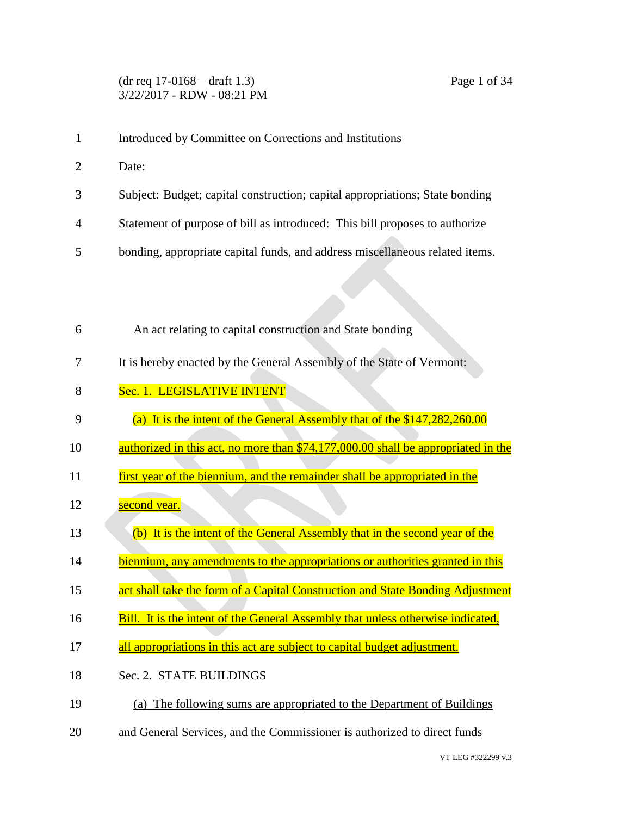## (dr req 17-0168 – draft 1.3) Page 1 of 34 3/22/2017 - RDW - 08:21 PM

- 1 Introduced by Committee on Corrections and Institutions
- 2 Date:
- 3 Subject: Budget; capital construction; capital appropriations; State bonding
- 4 Statement of purpose of bill as introduced: This bill proposes to authorize
- 5 bonding, appropriate capital funds, and address miscellaneous related items.

| 6  | An act relating to capital construction and State bonding                         |
|----|-----------------------------------------------------------------------------------|
| 7  | It is hereby enacted by the General Assembly of the State of Vermont:             |
| 8  | Sec. 1. LEGISLATIVE INTENT                                                        |
| 9  | (a) It is the intent of the General Assembly that of the \$147,282,260.00         |
| 10 | authorized in this act, no more than \$74,177,000.00 shall be appropriated in the |
| 11 | first year of the biennium, and the remainder shall be appropriated in the        |
| 12 | second year.                                                                      |
| 13 | (b) It is the intent of the General Assembly that in the second year of the       |
| 14 | biennium, any amendments to the appropriations or authorities granted in this     |
| 15 | act shall take the form of a Capital Construction and State Bonding Adjustment    |
| 16 | Bill. It is the intent of the General Assembly that unless otherwise indicated,   |
| 17 | all appropriations in this act are subject to capital budget adjustment.          |
| 18 | Sec. 2. STATE BUILDINGS                                                           |
| 19 | (a) The following sums are appropriated to the Department of Buildings            |
| 20 | and General Services, and the Commissioner is authorized to direct funds          |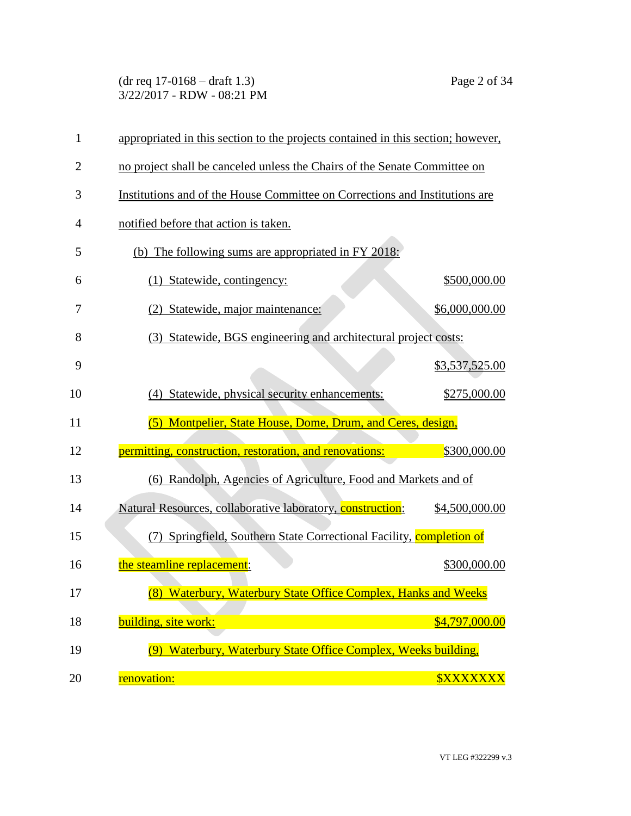(dr req 17-0168 – draft 1.3) Page 2 of 34 3/22/2017 - RDW - 08:21 PM

| $\mathbf{1}$   | appropriated in this section to the projects contained in this section; however, |                |
|----------------|----------------------------------------------------------------------------------|----------------|
| $\overline{2}$ | no project shall be canceled unless the Chairs of the Senate Committee on        |                |
| 3              | Institutions and of the House Committee on Corrections and Institutions are      |                |
| 4              | notified before that action is taken.                                            |                |
| 5              | (b) The following sums are appropriated in FY 2018:                              |                |
| 6              | (1) Statewide, contingency:                                                      | \$500,000.00   |
| 7              | (2) Statewide, major maintenance:                                                | \$6,000,000.00 |
| 8              | (3) Statewide, BGS engineering and architectural project costs:                  |                |
| 9              |                                                                                  | \$3,537,525.00 |
| 10             | (4) Statewide, physical security enhancements:                                   | \$275,000.00   |
|                |                                                                                  |                |
| 11             | (5) Montpelier, State House, Dome, Drum, and Ceres, design,                      |                |
| 12             | permitting, construction, restoration, and renovations:                          | \$300,000.00   |
| 13             | (6) Randolph, Agencies of Agriculture, Food and Markets and of                   |                |
| 14             | Natural Resources, collaborative laboratory, construction:                       | \$4,500,000.00 |
| 15             | (7) Springfield, Southern State Correctional Facility, completion of             |                |
| 16             | the steamline replacement:                                                       | \$300,000.00   |
| 17             | (8) Waterbury, Waterbury State Office Complex, Hanks and Weeks                   |                |
| 18             | building, site work:                                                             | \$4,797,000.00 |
| 19             | Waterbury, Waterbury State Office Complex, Weeks building,<br>(9)                |                |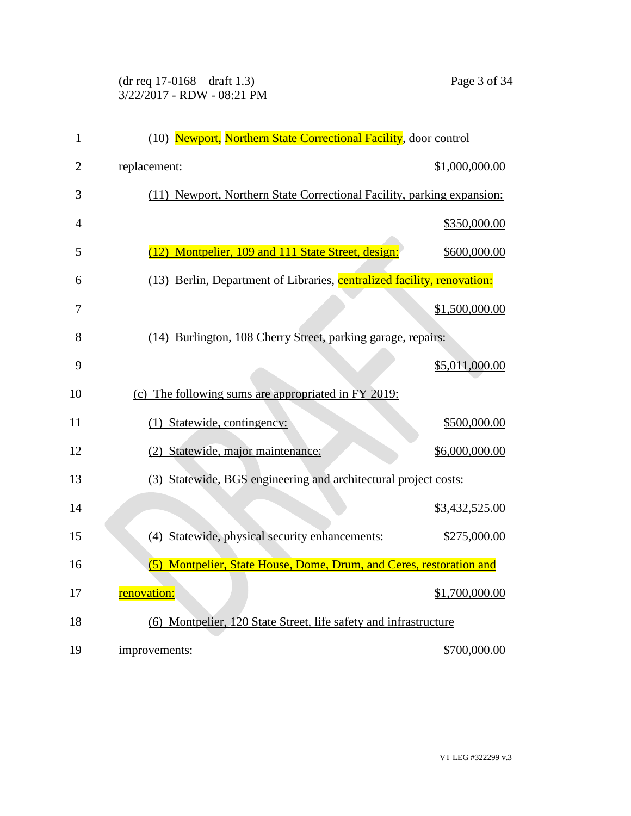## (dr req 17-0168 – draft 1.3) Page 3 of 34 3/22/2017 - RDW - 08:21 PM

| $\mathbf{1}$   | (10) Newport, Northern State Correctional Facility, door control        |                |
|----------------|-------------------------------------------------------------------------|----------------|
| $\overline{2}$ | replacement:                                                            | \$1,000,000.00 |
| 3              | (11) Newport, Northern State Correctional Facility, parking expansion:  |                |
| $\overline{4}$ |                                                                         | \$350,000.00   |
| 5              | (12) Montpelier, 109 and 111 State Street, design:                      | \$600,000.00   |
| 6              | (13) Berlin, Department of Libraries, centralized facility, renovation: |                |
| 7              |                                                                         | \$1,500,000.00 |
| 8              | (14) Burlington, 108 Cherry Street, parking garage, repairs:            |                |
| 9              |                                                                         | \$5,011,000.00 |
| 10             | (c) The following sums are appropriated in FY 2019:                     |                |
| 11             | (1) Statewide, contingency:                                             | \$500,000.00   |
| 12             | (2) Statewide, major maintenance:                                       | \$6,000,000.00 |
| 13             | (3) Statewide, BGS engineering and architectural project costs:         |                |
| 14             |                                                                         | \$3,432,525.00 |
| 15             | (4) Statewide, physical security enhancements:                          | \$275,000.00   |
| 16             | (5) Montpelier, State House, Dome, Drum, and Ceres, restoration and     |                |
| 17             | renovation:                                                             | \$1,700,000.00 |
| 18             | (6) Montpelier, 120 State Street, life safety and infrastructure        |                |
| 19             | improvements:                                                           | \$700,000.00   |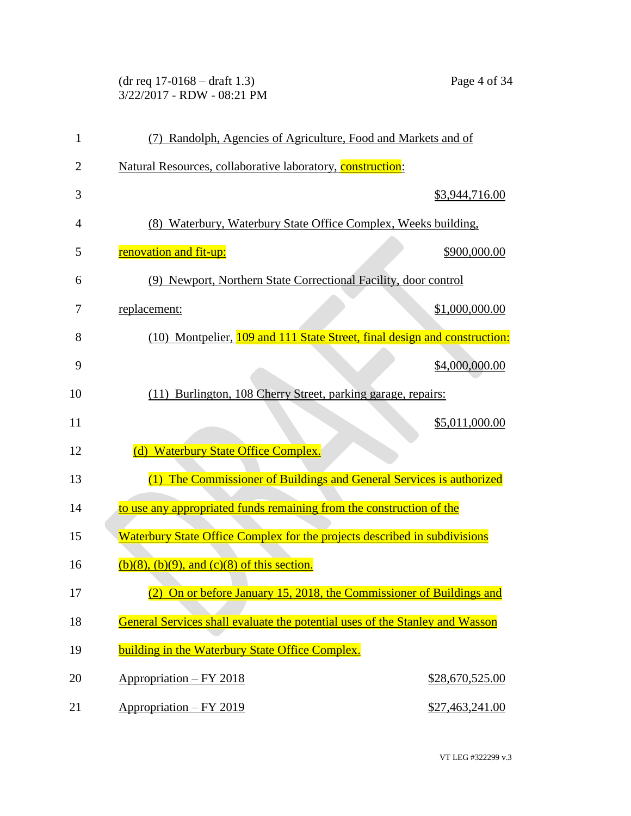(dr req 17-0168 – draft 1.3) Page 4 of 34 3/22/2017 - RDW - 08:21 PM

| $\mathbf{1}$   | (7) Randolph, Agencies of Agriculture, Food and Markets and of               |
|----------------|------------------------------------------------------------------------------|
| 2              | Natural Resources, collaborative laboratory, construction:                   |
| 3              | \$3,944,716.00                                                               |
| $\overline{4}$ | (8) Waterbury, Waterbury State Office Complex, Weeks building,               |
| 5              | renovation and fit-up:<br>\$900,000.00                                       |
| 6              | (9) Newport, Northern State Correctional Facility, door control              |
| 7              | replacement:<br>\$1,000,000.00                                               |
| 8              | (10) Montpelier, 109 and 111 State Street, final design and construction:    |
| 9              | \$4,000,000.00                                                               |
| 10             | (11) Burlington, 108 Cherry Street, parking garage, repairs:                 |
| 11             | \$5,011,000.00                                                               |
| 12             | <b>Waterbury State Office Complex.</b><br>(d)                                |
| 13             | (1) The Commissioner of Buildings and General Services is authorized         |
| 14             | to use any appropriated funds remaining from the construction of the         |
| 15             | Waterbury State Office Complex for the projects described in subdivisions    |
| 16             | $(b)(8)$ , $(b)(9)$ , and $(c)(8)$ of this section.                          |
| 17             | (2) On or before January 15, 2018, the Commissioner of Buildings and         |
| 18             | General Services shall evaluate the potential uses of the Stanley and Wasson |
| 19             | building in the Waterbury State Office Complex.                              |
| 20             | <u> Appropriation – FY 2018</u><br>\$28,670,525.00                           |
| 21             | Appropriation – FY 2019<br>\$27,463,241.00                                   |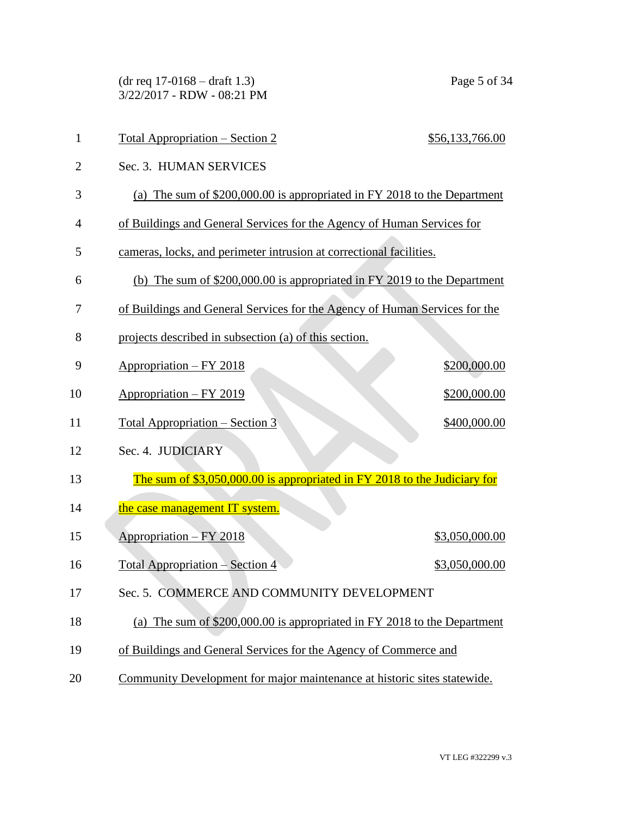(dr req 17-0168 – draft 1.3) Page 5 of 34 3/22/2017 - RDW - 08:21 PM

| $\mathbf{1}$   | <u> Total Appropriation – Section 2</u><br>\$56,133,766.00                 |
|----------------|----------------------------------------------------------------------------|
| $\overline{2}$ | Sec. 3. HUMAN SERVICES                                                     |
| 3              | (a) The sum of \$200,000.00 is appropriated in FY 2018 to the Department   |
| 4              | of Buildings and General Services for the Agency of Human Services for     |
| 5              | cameras, locks, and perimeter intrusion at correctional facilities.        |
| 6              | (b) The sum of \$200,000.00 is appropriated in FY 2019 to the Department   |
| 7              | of Buildings and General Services for the Agency of Human Services for the |
| 8              | projects described in subsection (a) of this section.                      |
| 9              | <u> Appropriation – FY 2018</u><br>\$200,000.00                            |
| 10             | Appropriation – FY 2019<br>\$200,000.00                                    |
| 11             | <u> Total Appropriation – Section 3</u><br>\$400,000.00                    |
| 12             | Sec. 4. JUDICIARY                                                          |
| 13             | The sum of \$3,050,000.00 is appropriated in FY 2018 to the Judiciary for  |
| 14             | the case management IT system.                                             |
| 15             | Appropriation - FY 2018<br>\$3,050,000.00                                  |
| 16             | Total Appropriation – Section 4<br>\$3,050,000.00                          |
| 17             | Sec. 5. COMMERCE AND COMMUNITY DEVELOPMENT                                 |
| 18             | (a) The sum of \$200,000.00 is appropriated in FY 2018 to the Department   |
| 19             | of Buildings and General Services for the Agency of Commerce and           |
| 20             | Community Development for major maintenance at historic sites statewide.   |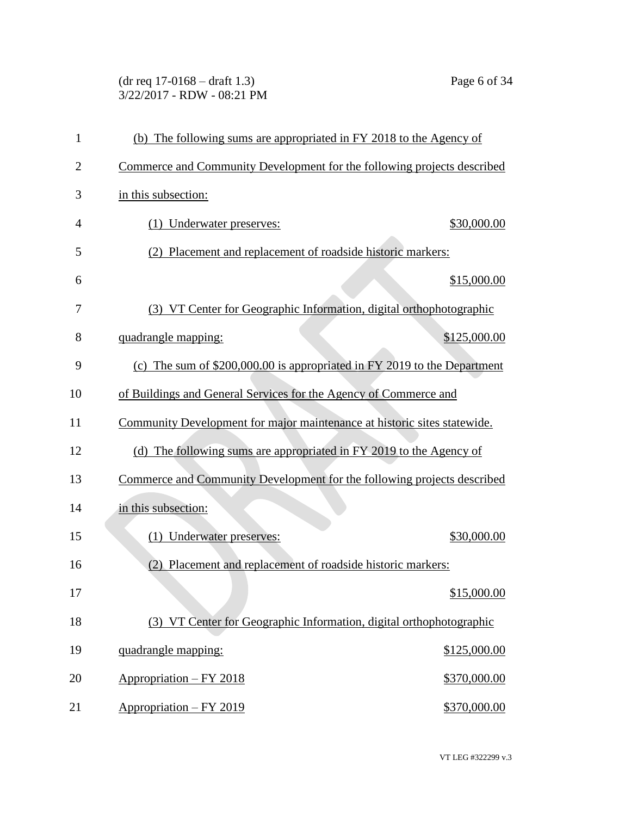(dr req 17-0168 – draft 1.3) Page 6 of 34 3/22/2017 - RDW - 08:21 PM

| 1              | (b) The following sums are appropriated in FY 2018 to the Agency of       |
|----------------|---------------------------------------------------------------------------|
| $\overline{c}$ | Commerce and Community Development for the following projects described   |
| 3              | in this subsection:                                                       |
| 4              | \$30,000.00<br>(1) Underwater preserves:                                  |
| 5              | Placement and replacement of roadside historic markers:<br>(2)            |
| 6              | \$15,000.00                                                               |
| 7              | (3) VT Center for Geographic Information, digital orthophotographic       |
| 8              | \$125,000.00<br>quadrangle mapping:                                       |
| 9              | (c) The sum of $$200,000.00$ is appropriated in FY 2019 to the Department |
| 10             | of Buildings and General Services for the Agency of Commerce and          |
| 11             | Community Development for major maintenance at historic sites statewide.  |
| 12             | (d) The following sums are appropriated in FY 2019 to the Agency of       |
| 13             | Commerce and Community Development for the following projects described   |
| 14             | in this subsection:                                                       |
| 15             | \$30,000.00<br>(1) Underwater preserves:                                  |
| 16             | Placement and replacement of roadside historic markers:<br>(2)            |
| 17             | \$15,000.00                                                               |
| 18             | (3) VT Center for Geographic Information, digital orthophotographic       |
| 19             | quadrangle mapping:<br>\$125,000.00                                       |
| 20             | Appropriation - FY 2018<br>\$370,000.00                                   |
| 21             | Appropriation - FY 2019<br>\$370,000.00                                   |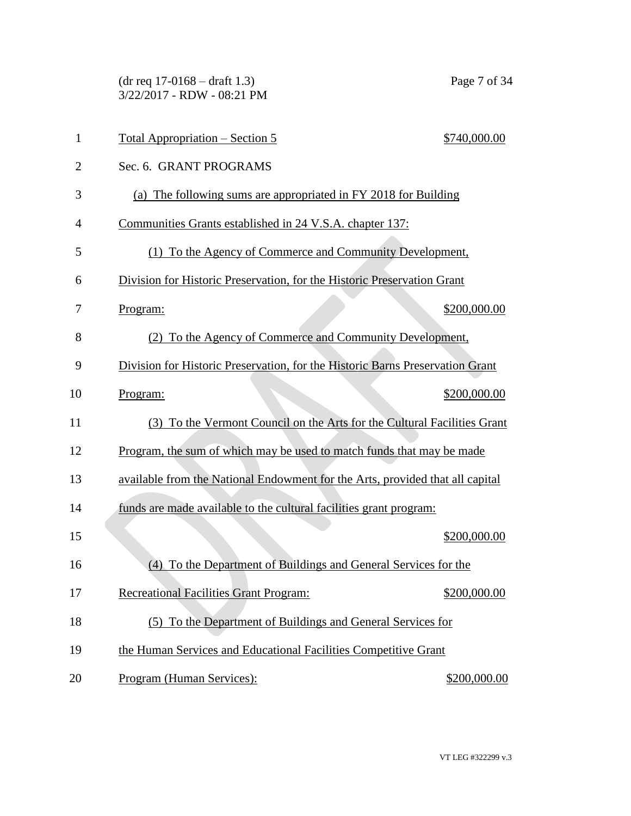(dr req 17-0168 – draft 1.3) Page 7 of 34 3/22/2017 - RDW - 08:21 PM

| 1              | <u> Total Appropriation – Section 5</u>                                       | \$740,000.00 |
|----------------|-------------------------------------------------------------------------------|--------------|
| $\overline{2}$ | Sec. 6. GRANT PROGRAMS                                                        |              |
| 3              | (a) The following sums are appropriated in FY 2018 for Building               |              |
| 4              | Communities Grants established in 24 V.S.A. chapter 137:                      |              |
| 5              | (1) To the Agency of Commerce and Community Development,                      |              |
| 6              | Division for Historic Preservation, for the Historic Preservation Grant       |              |
| 7              | Program:                                                                      | \$200,000.00 |
| 8              | (2) To the Agency of Commerce and Community Development,                      |              |
| 9              | Division for Historic Preservation, for the Historic Barns Preservation Grant |              |
| 10             | Program:                                                                      | \$200,000.00 |
| 11             | (3) To the Vermont Council on the Arts for the Cultural Facilities Grant      |              |
| 12             | Program, the sum of which may be used to match funds that may be made         |              |
| 13             | available from the National Endowment for the Arts, provided that all capital |              |
| 14             | funds are made available to the cultural facilities grant program:            |              |
| 15             |                                                                               | \$200,000.00 |
| 16             | To the Department of Buildings and General Services for the<br>(4)            |              |
| 17             | <b>Recreational Facilities Grant Program:</b>                                 | \$200,000.00 |
| 18             | (5) To the Department of Buildings and General Services for                   |              |
| 19             | the Human Services and Educational Facilities Competitive Grant               |              |
| 20             | Program (Human Services):                                                     | \$200,000.00 |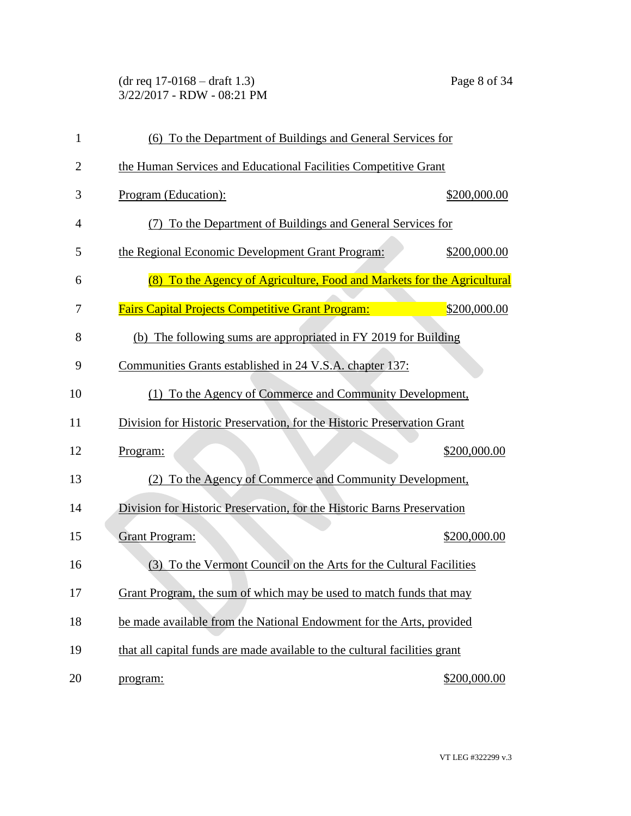(dr req 17-0168 – draft 1.3) Page 8 of 34 3/22/2017 - RDW - 08:21 PM

| 1              | (6) To the Department of Buildings and General Services for                |
|----------------|----------------------------------------------------------------------------|
| $\overline{2}$ | the Human Services and Educational Facilities Competitive Grant            |
| 3              | Program (Education):<br>\$200,000.00                                       |
| $\overline{4}$ | (7) To the Department of Buildings and General Services for                |
| 5              | the Regional Economic Development Grant Program:<br>\$200,000.00           |
| 6              | (8) To the Agency of Agriculture, Food and Markets for the Agricultural    |
| 7              | \$200,000.00<br><b>Fairs Capital Projects Competitive Grant Program:</b>   |
| 8              | (b) The following sums are appropriated in FY 2019 for Building            |
| 9              | Communities Grants established in 24 V.S.A. chapter 137:                   |
| 10             | (1) To the Agency of Commerce and Community Development,                   |
| 11             | Division for Historic Preservation, for the Historic Preservation Grant    |
| 12             | \$200,000.00<br>Program:                                                   |
| 13             | To the Agency of Commerce and Community Development,<br>(2)                |
| 14             | Division for Historic Preservation, for the Historic Barns Preservation    |
| 15             | <b>Grant Program:</b><br>\$200,000.00                                      |
| 16             | To the Vermont Council on the Arts for the Cultural Facilities<br>(3)      |
| 17             | Grant Program, the sum of which may be used to match funds that may        |
| 18             | be made available from the National Endowment for the Arts, provided       |
| 19             | that all capital funds are made available to the cultural facilities grant |
| 20             | \$200,000.00<br>program:                                                   |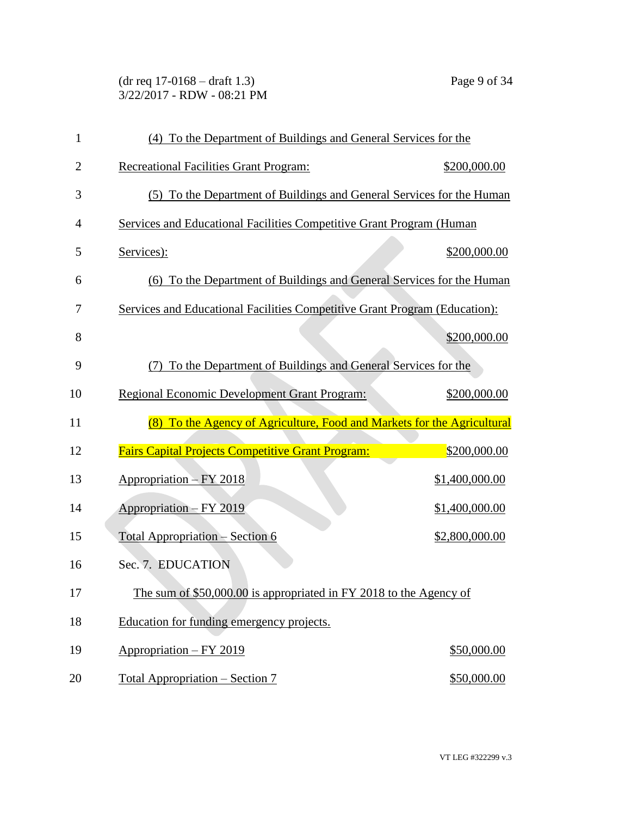(dr req 17-0168 – draft 1.3) Page 9 of 34 3/22/2017 - RDW - 08:21 PM

| 1              | (4) To the Department of Buildings and General Services for the            |                |
|----------------|----------------------------------------------------------------------------|----------------|
| $\overline{2}$ | <b>Recreational Facilities Grant Program:</b>                              | \$200,000.00   |
| 3              | (5) To the Department of Buildings and General Services for the Human      |                |
| $\overline{4}$ | Services and Educational Facilities Competitive Grant Program (Human       |                |
| 5              | Services):                                                                 | \$200,000.00   |
| 6              | (6) To the Department of Buildings and General Services for the Human      |                |
| 7              | Services and Educational Facilities Competitive Grant Program (Education): |                |
| 8              |                                                                            | \$200,000.00   |
| 9              | To the Department of Buildings and General Services for the<br>(7)         |                |
| 10             | <b>Regional Economic Development Grant Program:</b>                        | \$200,000.00   |
| 11             | (8) To the Agency of Agriculture, Food and Markets for the Agricultural    |                |
| 12             | <b>Fairs Capital Projects Competitive Grant Program:</b>                   | \$200,000.00   |
| 13             | Appropriation - FY 2018                                                    | \$1,400,000.00 |
| 14             | Appropriation - FY 2019                                                    | \$1,400,000.00 |
| 15             | <b>Total Appropriation – Section 6</b>                                     | \$2,800,000.00 |
| 16             | Sec. 7. EDUCATION                                                          |                |
| 17             | The sum of \$50,000.00 is appropriated in FY 2018 to the Agency of         |                |
| 18             | Education for funding emergency projects.                                  |                |
| 19             | Appropriation - FY 2019                                                    | \$50,000.00    |
|                |                                                                            |                |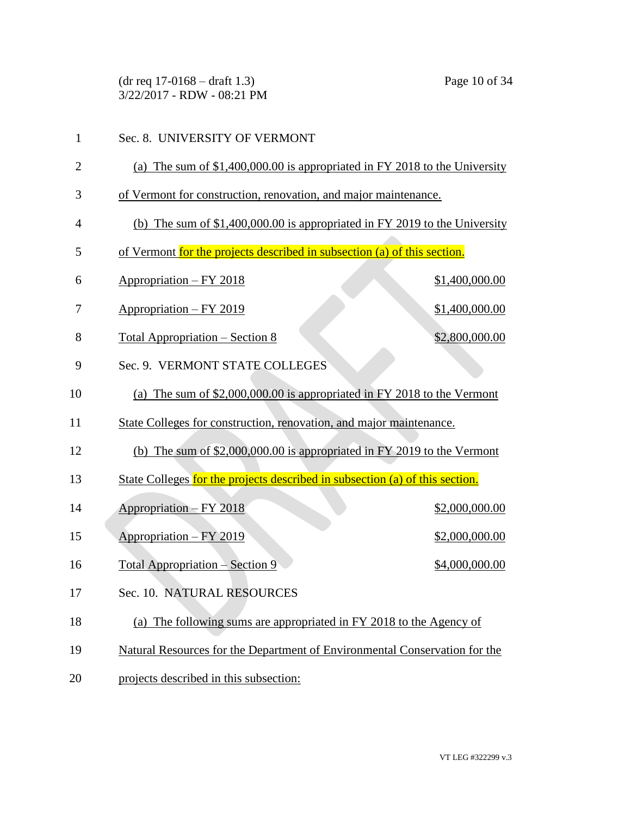(dr req 17-0168 – draft 1.3) Page 10 of 34 3/22/2017 - RDW - 08:21 PM

| 1              | Sec. 8. UNIVERSITY OF VERMONT                                                |
|----------------|------------------------------------------------------------------------------|
| $\overline{2}$ | (a) The sum of $$1,400,000.00$ is appropriated in FY 2018 to the University  |
| 3              | of Vermont for construction, renovation, and major maintenance.              |
| 4              | (b) The sum of $$1,400,000.00$ is appropriated in FY 2019 to the University  |
| 5              | of Vermont for the projects described in subsection (a) of this section.     |
| 6              | <u> Appropriation – FY 2018</u><br>\$1,400,000.00                            |
| 7              | Appropriation - FY 2019<br>\$1,400,000.00                                    |
| 8              | \$2,800,000.00<br><u> Total Appropriation – Section 8</u>                    |
| 9              | Sec. 9. VERMONT STATE COLLEGES                                               |
| 10             | (a) The sum of $$2,000,000.00$ is appropriated in FY 2018 to the Vermont     |
| 11             | State Colleges for construction, renovation, and major maintenance.          |
| 12             | (b) The sum of $$2,000,000.00$ is appropriated in FY 2019 to the Vermont     |
| 13             | State Colleges for the projects described in subsection (a) of this section. |
| 14             | <u> Appropriation – FY 2018</u><br>\$2,000,000.00                            |
| 15             | Appropriation - FY 2019<br>\$2,000,000.00                                    |
| 16             | Total Appropriation – Section 9<br>\$4,000,000.00                            |
| 17             | Sec. 10. NATURAL RESOURCES                                                   |
| 18             | (a) The following sums are appropriated in FY 2018 to the Agency of          |
| 19             | Natural Resources for the Department of Environmental Conservation for the   |
| 20             | projects described in this subsection:                                       |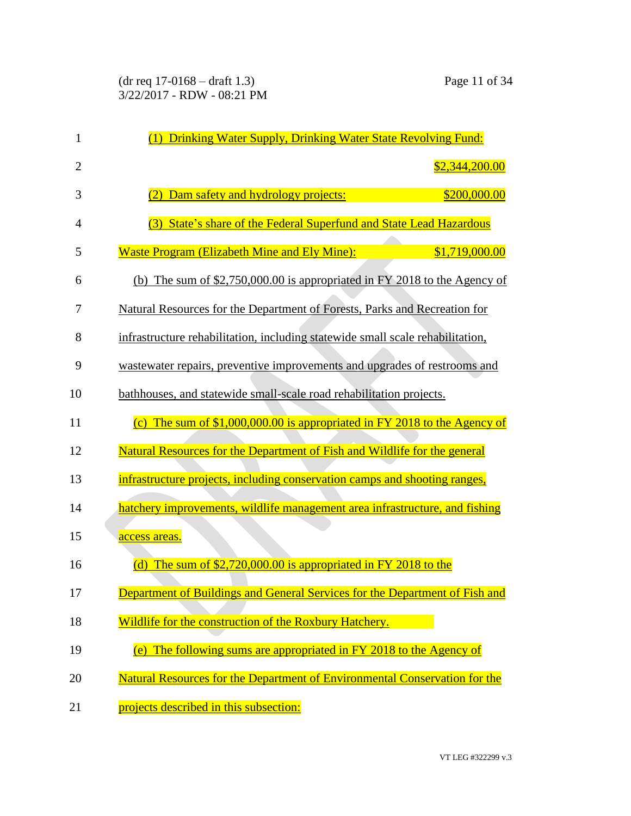| 1              | Drinking Water Supply, Drinking Water State Revolving Fund:<br>(1)                 |
|----------------|------------------------------------------------------------------------------------|
| $\overline{2}$ | \$2,344,200.00                                                                     |
| 3              | \$200,000.00<br>Dam safety and hydrology projects:                                 |
| 4              | (3) State's share of the Federal Superfund and State Lead Hazardous                |
| 5              | <b>Waste Program (Elizabeth Mine and Ely Mine):</b><br>\$1,719,000.00              |
| 6              | (b) The sum of $$2,750,000.00$ is appropriated in FY 2018 to the Agency of         |
| 7              | Natural Resources for the Department of Forests, Parks and Recreation for          |
| 8              | infrastructure rehabilitation, including statewide small scale rehabilitation,     |
| 9              | wastewater repairs, preventive improvements and upgrades of restrooms and          |
| 10             | bathhouses, and statewide small-scale road rehabilitation projects.                |
| 11             | (c) The sum of $$1,000,000.00$ is appropriated in FY 2018 to the Agency of         |
| 12             | Natural Resources for the Department of Fish and Wildlife for the general          |
| 13             | infrastructure projects, including conservation camps and shooting ranges,         |
| 14             | hatchery improvements, wildlife management area infrastructure, and fishing        |
| 15             | access areas.                                                                      |
| 16             | The sum of $$2,720,000.00$ is appropriated in FY 2018 to the<br>(d)                |
| 17             | <b>Department of Buildings and General Services for the Department of Fish and</b> |
| 18             | Wildlife for the construction of the Roxbury Hatchery.                             |
| 19             | (e) The following sums are appropriated in FY 2018 to the Agency of                |
| 20             | Natural Resources for the Department of Environmental Conservation for the         |
| 21             | projects described in this subsection:                                             |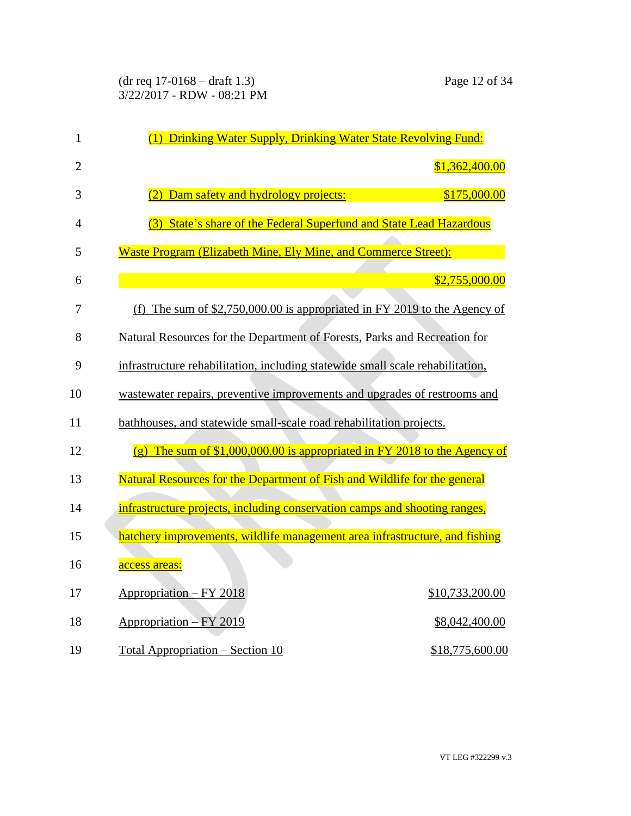| $\mathbf{1}$   | (1) Drinking Water Supply, Drinking Water State Revolving Fund:                                |
|----------------|------------------------------------------------------------------------------------------------|
| $\overline{2}$ | \$1,362,400.00                                                                                 |
| 3              | Dam safety and hydrology projects:<br>\$175,000.00<br>(2)                                      |
| 4              | (3) State's share of the Federal Superfund and State Lead Hazardous                            |
| 5              | Waste Program (Elizabeth Mine, Ely Mine, and Commerce Street):                                 |
| 6              | \$2,755,000.00                                                                                 |
| 7              | (f) The sum of $$2,750,000.00$ is appropriated in FY 2019 to the Agency of                     |
| 8              | Natural Resources for the Department of Forests, Parks and Recreation for                      |
| 9              | infrastructure rehabilitation, including statewide small scale rehabilitation,                 |
| 10             | wastewater repairs, preventive improvements and upgrades of restrooms and                      |
| 11             | bathhouses, and statewide small-scale road rehabilitation projects.                            |
| 12             | The sum of \$1,000,000.00 is appropriated in FY 2018 to the Agency of<br>$\left( \rho \right)$ |
| 13             | Natural Resources for the Department of Fish and Wildlife for the general                      |
| 14             | infrastructure projects, including conservation camps and shooting ranges,                     |
| 15             | hatchery improvements, wildlife management area infrastructure, and fishing                    |
| 16             | access areas:                                                                                  |
| 17             | Appropriation - FY 2018<br>\$10,733,200.00                                                     |
| 18             | Appropriation - FY 2019<br>\$8,042,400.00                                                      |
| 19             | <u><b>Total Appropriation – Section 10</b></u><br>\$18,775,600.00                              |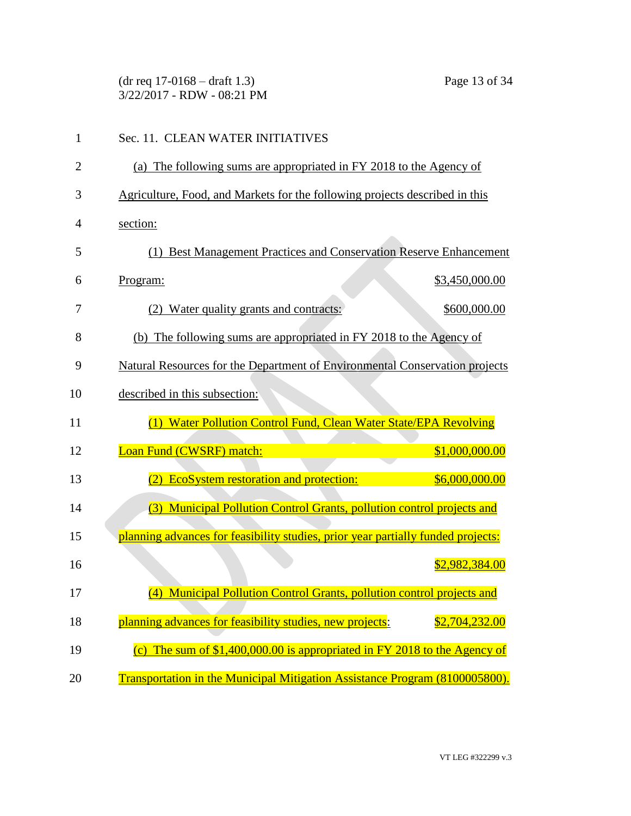(dr req 17-0168 – draft 1.3) Page 13 of 34 3/22/2017 - RDW - 08:21 PM

| 1              | Sec. 11. CLEAN WATER INITIATIVES                                                 |
|----------------|----------------------------------------------------------------------------------|
| $\overline{2}$ | (a) The following sums are appropriated in FY 2018 to the Agency of              |
| 3              | Agriculture, Food, and Markets for the following projects described in this      |
| 4              | section:                                                                         |
| 5              | (1) Best Management Practices and Conservation Reserve Enhancement               |
| 6              | \$3,450,000.00<br>Program:                                                       |
| 7              | (2) Water quality grants and contracts:<br>\$600,000.00                          |
| 8              | The following sums are appropriated in FY 2018 to the Agency of<br>(b)           |
| 9              | Natural Resources for the Department of Environmental Conservation projects      |
| 10             | described in this subsection:                                                    |
| 11             | (1) Water Pollution Control Fund, Clean Water State/EPA Revolving                |
| 12             | Loan Fund (CWSRF) match:<br>\$1,000,000.00                                       |
| 13             | EcoSystem restoration and protection:<br>\$6,000,000.00                          |
| 14             | (3) Municipal Pollution Control Grants, pollution control projects and           |
| 15             | planning advances for feasibility studies, prior year partially funded projects: |
| 16             | \$2,982,384.00                                                                   |
| 17             | (4) Municipal Pollution Control Grants, pollution control projects and           |
| 18             | planning advances for feasibility studies, new projects:<br>\$2,704,232.00       |
| 19             | (c) The sum of $$1,400,000.00$ is appropriated in FY 2018 to the Agency of       |
| 20             | Transportation in the Municipal Mitigation Assistance Program (8100005800).      |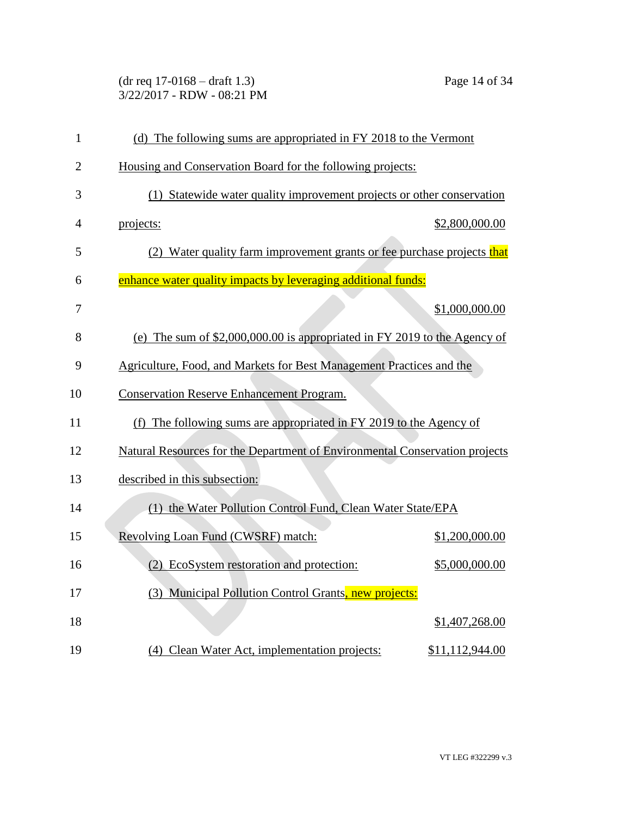(dr req 17-0168 – draft 1.3) Page 14 of 34 3/22/2017 - RDW - 08:21 PM

| $\mathbf{1}$   | (d) The following sums are appropriated in FY 2018 to the Vermont           |
|----------------|-----------------------------------------------------------------------------|
| $\overline{2}$ | Housing and Conservation Board for the following projects:                  |
| 3              | (1) Statewide water quality improvement projects or other conservation      |
| 4              | \$2,800,000.00<br>projects:                                                 |
| 5              | (2) Water quality farm improvement grants or fee purchase projects that     |
| 6              | enhance water quality impacts by leveraging additional funds:               |
| 7              | \$1,000,000.00                                                              |
| 8              | (e) The sum of $$2,000,000.00$ is appropriated in FY 2019 to the Agency of  |
| 9              | Agriculture, Food, and Markets for Best Management Practices and the        |
| 10             | <b>Conservation Reserve Enhancement Program.</b>                            |
| 11             | (f) The following sums are appropriated in FY 2019 to the Agency of         |
| 12             | Natural Resources for the Department of Environmental Conservation projects |
| 13             | described in this subsection:                                               |
| 14             | (1) the Water Pollution Control Fund, Clean Water State/EPA                 |
| 15             | Revolving Loan Fund (CWSRF) match:<br>\$1,200,000.00                        |
| 16             | (2) EcoSystem restoration and protection:<br>\$5,000,000.00                 |
| 17             | (3) Municipal Pollution Control Grants, new projects:                       |
| 18             | \$1,407,268.00                                                              |
| 19             | (4) Clean Water Act, implementation projects:<br>\$11,112,944.00            |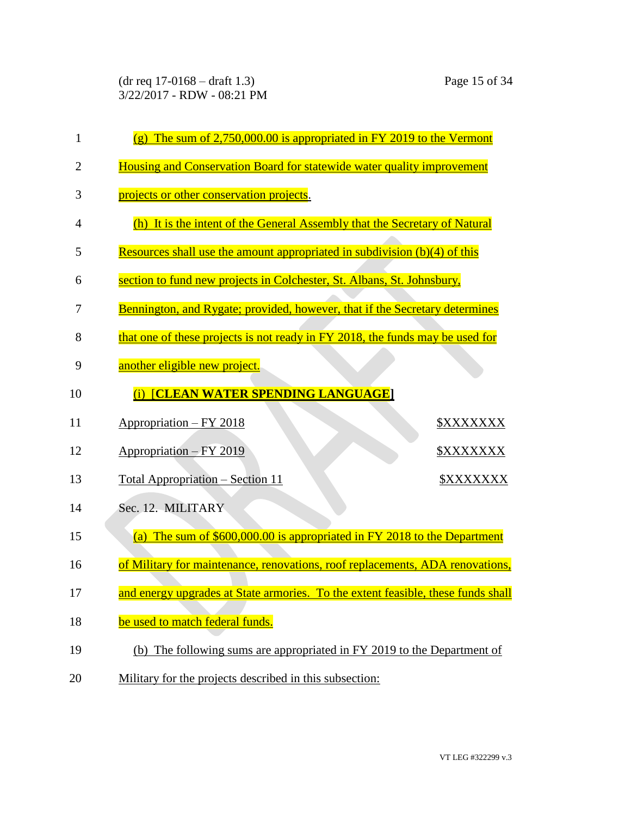(dr req 17-0168 – draft 1.3) Page 15 of 34 3/22/2017 - RDW - 08:21 PM

| 1  | $(g)$ The sum of 2,750,000.00 is appropriated in FY 2019 to the Vermont          |
|----|----------------------------------------------------------------------------------|
| 2  | Housing and Conservation Board for statewide water quality improvement           |
| 3  | projects or other conservation projects.                                         |
| 4  | (h) It is the intent of the General Assembly that the Secretary of Natural       |
| 5  | Resources shall use the amount appropriated in subdivision (b)(4) of this        |
| 6  | section to fund new projects in Colchester, St. Albans, St. Johnsbury,           |
| 7  | Bennington, and Rygate; provided, however, that if the Secretary determines      |
| 8  | that one of these projects is not ready in FY 2018, the funds may be used for    |
| 9  | another eligible new project.                                                    |
| 10 | <b>[CLEAN WATER SPENDING LANGUAGE]</b><br>(i)                                    |
| 11 | <u> Appropriation – FY 2018</u><br><b><i>\$XXXXXXX</i></b>                       |
| 12 | <u> Appropriation – FY 2019</u><br><u> \$XXXXXXX</u>                             |
| 13 | <b>Total Appropriation – Section 11</b><br><b>\$XXXXXXX</b>                      |
| 14 | Sec. 12. MILITARY                                                                |
| 15 | (a) The sum of $$600,000.00$ is appropriated in FY 2018 to the Department        |
| 16 | of Military for maintenance, renovations, roof replacements, ADA renovations,    |
| 17 | and energy upgrades at State armories. To the extent feasible, these funds shall |
| 18 | be used to match federal funds.                                                  |
| 19 | (b) The following sums are appropriated in FY 2019 to the Department of          |
| 20 | Military for the projects described in this subsection:                          |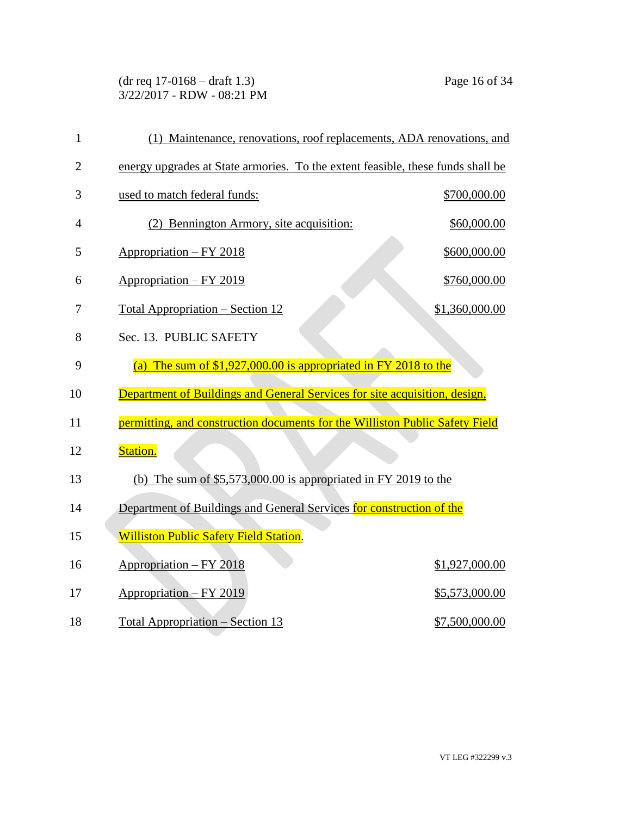(dr req 17-0168 – draft 1.3) Page 16 of 34 3/22/2017 - RDW - 08:21 PM

| $\mathbf{1}$   | (1) Maintenance, renovations, roof replacements, ADA renovations, and           |                |
|----------------|---------------------------------------------------------------------------------|----------------|
| $\overline{2}$ | energy upgrades at State armories. To the extent feasible, these funds shall be |                |
| 3              | used to match federal funds:                                                    | \$700,000.00   |
| 4              | (2) Bennington Armory, site acquisition:                                        | \$60,000.00    |
| 5              | $Approxation - FY 2018$                                                         | \$600,000.00   |
| 6              | Appropriation - FY 2019                                                         | \$760,000.00   |
| 7              | <u> Total Appropriation – Section 12</u>                                        | \$1,360,000.00 |
| 8              | Sec. 13. PUBLIC SAFETY                                                          |                |
| 9              | The sum of $$1,927,000.00$ is appropriated in FY 2018 to the<br>(a)             |                |
| 10             | Department of Buildings and General Services for site acquisition, design,      |                |
| 11             | permitting, and construction documents for the Williston Public Safety Field    |                |
| 12             | Station.                                                                        |                |
| 13             | (b) The sum of $$5,573,000.00$ is appropriated in FY 2019 to the                |                |
| 14             | Department of Buildings and General Services for construction of the            |                |
| 15             | <b>Williston Public Safety Field Station.</b>                                   |                |
| 16             | Appropriation - FY 2018                                                         | \$1,927,000.00 |
| 17             | Appropriation – FY 2019                                                         | \$5,573,000.00 |
| 18             | Total Appropriation - Section 13                                                | \$7,500,000.00 |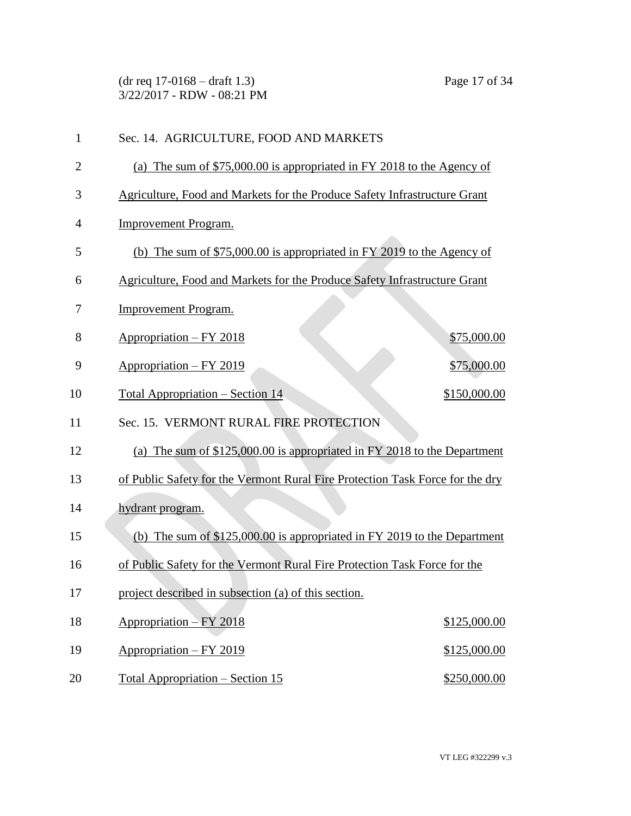(dr req 17-0168 – draft 1.3) Page 17 of 34 3/22/2017 - RDW - 08:21 PM

| $\mathbf{1}$ | Sec. 14. AGRICULTURE, FOOD AND MARKETS                                        |
|--------------|-------------------------------------------------------------------------------|
| 2            | (a) The sum of $$75,000.00$ is appropriated in FY 2018 to the Agency of       |
| 3            | Agriculture, Food and Markets for the Produce Safety Infrastructure Grant     |
| 4            | <b>Improvement Program.</b>                                                   |
| 5            | (b) The sum of $$75,000.00$ is appropriated in FY 2019 to the Agency of       |
| 6            | Agriculture, Food and Markets for the Produce Safety Infrastructure Grant     |
| 7            | <b>Improvement Program.</b>                                                   |
| 8            | Appropriation - FY 2018<br>\$75,000.00                                        |
| 9            | \$75,000.00<br>Appropriation - FY 2019                                        |
| 10           | \$150,000.00<br><u> Total Appropriation – Section 14</u>                      |
| 11           | Sec. 15. VERMONT RURAL FIRE PROTECTION                                        |
| 12           | (a) The sum of \$125,000.00 is appropriated in FY 2018 to the Department      |
| 13           | of Public Safety for the Vermont Rural Fire Protection Task Force for the dry |
| 14           | hydrant program.                                                              |
| 15           | (b) The sum of $$125,000.00$ is appropriated in FY 2019 to the Department     |
| 16           | of Public Safety for the Vermont Rural Fire Protection Task Force for the     |
| 17           | project described in subsection (a) of this section.                          |
| 18           | Appropriation $-FY 2018$<br>\$125,000.00                                      |
| 19           | Appropriation - FY 2019<br>\$125,000.00                                       |
| 20           | \$250,000.00<br><u> Total Appropriation – Section 15</u>                      |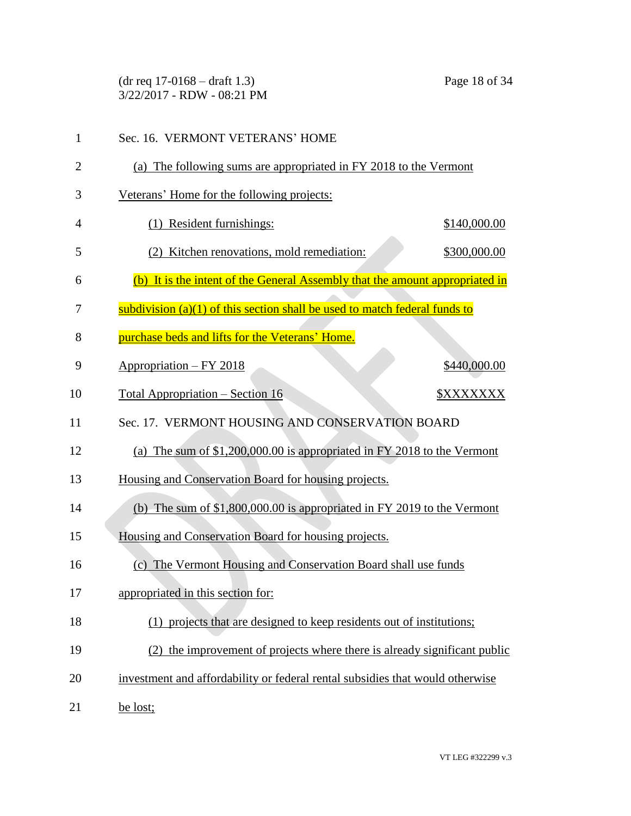(dr req 17-0168 – draft 1.3) Page 18 of 34 3/22/2017 - RDW - 08:21 PM

| $\mathbf{1}$   | Sec. 16. VERMONT VETERANS' HOME                                               |
|----------------|-------------------------------------------------------------------------------|
| $\overline{2}$ | (a) The following sums are appropriated in FY 2018 to the Vermont             |
| 3              | Veterans' Home for the following projects:                                    |
| 4              | Resident furnishings:<br>\$140,000.00                                         |
| 5              | (2) Kitchen renovations, mold remediation:<br>\$300,000.00                    |
| 6              | (b) It is the intent of the General Assembly that the amount appropriated in  |
| 7              | subdivision (a)(1) of this section shall be used to match federal funds to    |
| 8              | purchase beds and lifts for the Veterans' Home.                               |
| 9              | \$440,000.00<br><u> Appropriation – FY 2018</u>                               |
| 10             | Total Appropriation – Section 16<br><u> \$XXXXXXX</u>                         |
| 11             | Sec. 17. VERMONT HOUSING AND CONSERVATION BOARD                               |
| 12             | (a) The sum of $$1,200,000.00$ is appropriated in FY 2018 to the Vermont      |
| 13             | Housing and Conservation Board for housing projects.                          |
| 14             | (b) The sum of $$1,800,000.00$ is appropriated in FY 2019 to the Vermont      |
| 15             | Housing and Conservation Board for housing projects.                          |
| 16             | (c) The Vermont Housing and Conservation Board shall use funds                |
| 17             | appropriated in this section for:                                             |
| 18             | (1) projects that are designed to keep residents out of institutions;         |
| 19             | (2) the improvement of projects where there is already significant public     |
| 20             | investment and affordability or federal rental subsidies that would otherwise |
| 21             | be lost;                                                                      |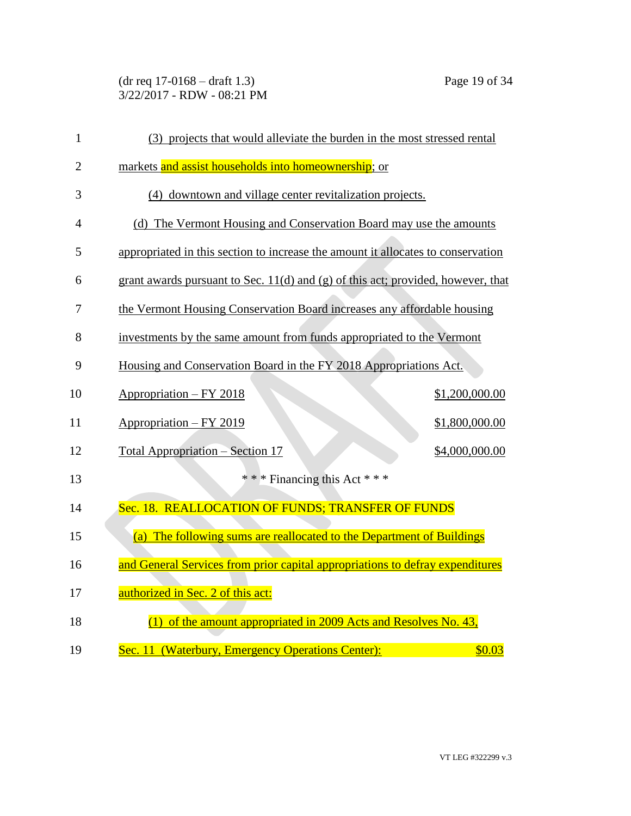(dr req 17-0168 – draft 1.3) Page 19 of 34 3/22/2017 - RDW - 08:21 PM

| $\mathbf{1}$   | (3) projects that would alleviate the burden in the most stressed rental           |
|----------------|------------------------------------------------------------------------------------|
| $\overline{2}$ | markets and assist households into homeownership; or                               |
| 3              | (4) downtown and village center revitalization projects.                           |
| $\overline{4}$ | (d) The Vermont Housing and Conservation Board may use the amounts                 |
| 5              | appropriated in this section to increase the amount it allocates to conservation   |
| 6              | grant awards pursuant to Sec. $11(d)$ and (g) of this act; provided, however, that |
| 7              | the Vermont Housing Conservation Board increases any affordable housing            |
| 8              | investments by the same amount from funds appropriated to the Vermont              |
| 9              | Housing and Conservation Board in the FY 2018 Appropriations Act.                  |
| 10             | Appropriation - FY 2018<br>\$1,200,000.00                                          |
| 11             | $Approxination - FY 2019$<br>\$1,800,000.00                                        |
| 12             | Total Appropriation - Section 17<br>\$4,000,000.00                                 |
| 13             | * * * Financing this Act * * *                                                     |
| 14             | Sec. 18. REALLOCATION OF FUNDS; TRANSFER OF FUNDS                                  |
| 15             | (a) The following sums are reallocated to the Department of Buildings              |
| 16             | and General Services from prior capital appropriations to defray expenditures      |
| 17             | authorized in Sec. 2 of this act:                                                  |
| 18             | $(1)$ of the amount appropriated in 2009 Acts and Resolves No. 43,                 |
| 19             | Sec. 11 (Waterbury, Emergency Operations Center):<br>\$0.03                        |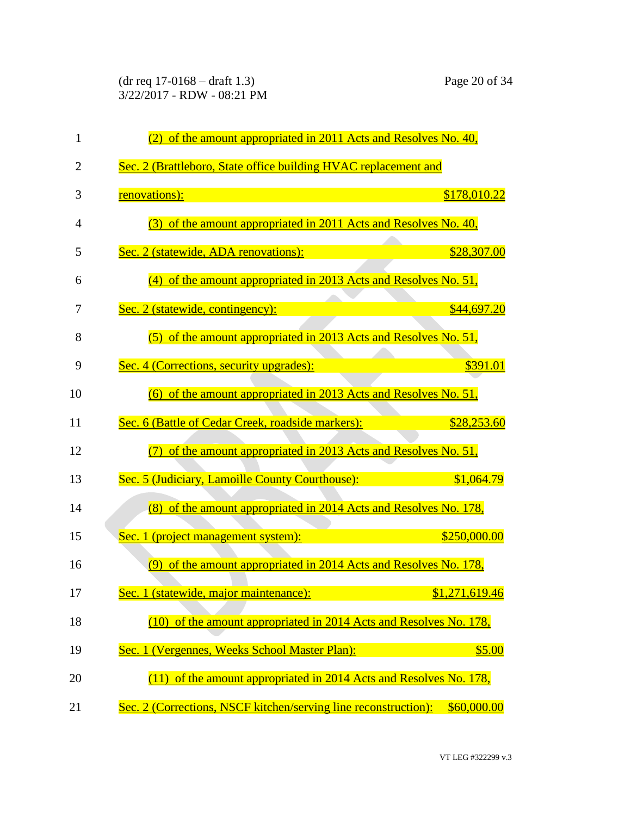(dr req 17-0168 – draft 1.3) Page 20 of 34 3/22/2017 - RDW - 08:21 PM

| $\mathbf{1}$   | of the amount appropriated in 2011 Acts and Resolves No. 40,                   |
|----------------|--------------------------------------------------------------------------------|
| $\overline{2}$ | Sec. 2 (Brattleboro, State office building HVAC replacement and                |
| 3              | renovations):<br>\$178,010.22                                                  |
| 4              | (3) of the amount appropriated in 2011 Acts and Resolves No. 40,               |
| 5              | Sec. 2 (statewide, ADA renovations):<br>\$28,307.00                            |
| 6              | (4) of the amount appropriated in 2013 Acts and Resolves No. 51,               |
| 7              | Sec. 2 (statewide, contingency):<br>\$44,697.20                                |
| 8              | (5) of the amount appropriated in 2013 Acts and Resolves No. 51,               |
| 9              | \$391.01<br>Sec. 4 (Corrections, security upgrades):                           |
| 10             | $(6)$ of the amount appropriated in 2013 Acts and Resolves No. 51,             |
| 11             | Sec. 6 (Battle of Cedar Creek, roadside markers):<br>\$28,253.60               |
| 12             | (7) of the amount appropriated in 2013 Acts and Resolves No. 51,               |
| 13             | Sec. 5 (Judiciary, Lamoille County Courthouse):<br>\$1,064.79                  |
| 14             | (8) of the amount appropriated in 2014 Acts and Resolves No. 178,              |
| 15             | \$250,000.00<br>Sec. 1 (project management system):                            |
| 16             | $(9)$ of the amount appropriated in 2014 Acts and Resolves No. 178,            |
| 17             | Sec. 1 (statewide, major maintenance):<br>\$1,271,619.46                       |
| 18             | (10) of the amount appropriated in 2014 Acts and Resolves No. 178,             |
| 19             | Sec. 1 (Vergennes, Weeks School Master Plan):<br>\$5.00                        |
| 20             | $(11)$ of the amount appropriated in 2014 Acts and Resolves No. 178,           |
| 21             | Sec. 2 (Corrections, NSCF kitchen/serving line reconstruction):<br>\$60,000.00 |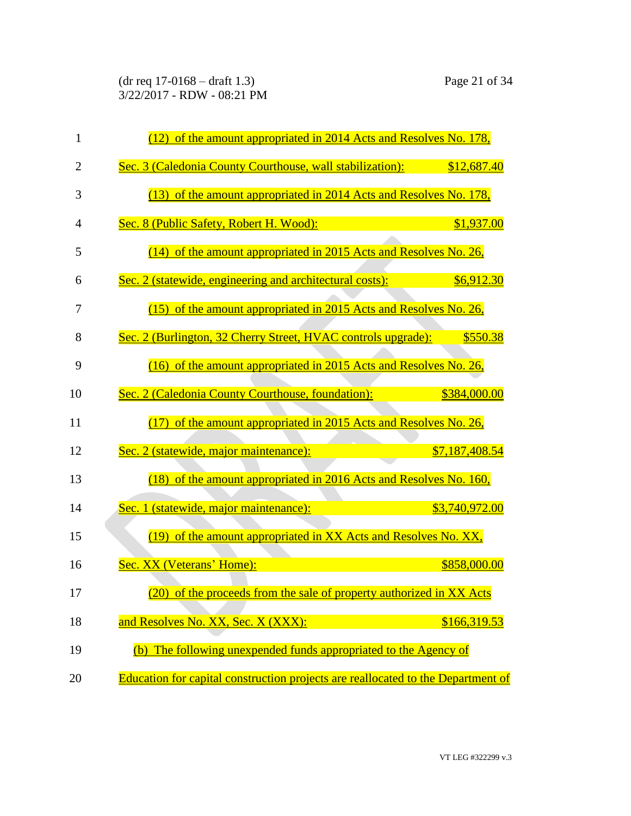(dr req 17-0168 – draft 1.3) Page 21 of 34 3/22/2017 - RDW - 08:21 PM

| $\mathbf{1}$   | (12) of the amount appropriated in 2014 Acts and Resolves No. 178,                      |
|----------------|-----------------------------------------------------------------------------------------|
| $\overline{2}$ | Sec. 3 (Caledonia County Courthouse, wall stabilization):<br>\$12,687.40                |
| 3              | (13) of the amount appropriated in 2014 Acts and Resolves No. 178,                      |
| $\overline{4}$ | Sec. 8 (Public Safety, Robert H. Wood):<br>\$1,937.00                                   |
| 5              | $(14)$ of the amount appropriated in 2015 Acts and Resolves No. 26,                     |
| 6              | Sec. 2 (statewide, engineering and architectural costs):<br>\$6,912.30                  |
| 7              | (15) of the amount appropriated in 2015 Acts and Resolves No. 26,                       |
| 8              | Sec. 2 (Burlington, 32 Cherry Street, HVAC controls upgrade):<br>\$550.38               |
| 9              | (16) of the amount appropriated in 2015 Acts and Resolves No. 26,                       |
| 10             | Sec. 2 (Caledonia County Courthouse, foundation):<br>\$384,000.00                       |
| 11             | (17) of the amount appropriated in 2015 Acts and Resolves No. 26,                       |
| 12             | Sec. 2 (statewide, major maintenance):<br>\$7,187,408.54                                |
| 13             | (18) of the amount appropriated in 2016 Acts and Resolves No. 160,                      |
| 14             | Sec. 1 (statewide, major maintenance):<br>\$3,740,972.00                                |
| 15             | (19) of the amount appropriated in XX Acts and Resolves No. XX,                         |
| 16             | Sec. XX (Veterans' Home):<br>\$858,000.00                                               |
| 17             | (20) of the proceeds from the sale of property authorized in XX Acts                    |
| 18             | and Resolves No. XX, Sec. X (XXX):<br>\$166,319.53                                      |
| 19             | (b) The following unexpended funds appropriated to the Agency of                        |
| 20             | <b>Education for capital construction projects are reallocated to the Department of</b> |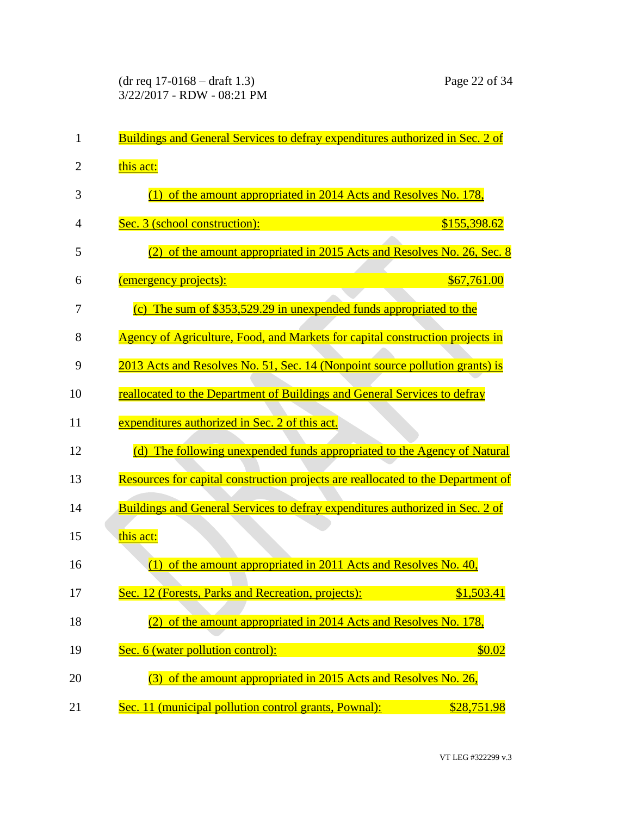| $\mathbf{1}$   | <b>Buildings and General Services to defray expenditures authorized in Sec. 2 of</b> |
|----------------|--------------------------------------------------------------------------------------|
| $\overline{2}$ | this act:                                                                            |
| 3              | $(1)$ of the amount appropriated in 2014 Acts and Resolves No. 178,                  |
| 4              | Sec. 3 (school construction):<br>\$155,398.62                                        |
| 5              | of the amount appropriated in 2015 Acts and Resolves No. 26, Sec. 8<br>(2)           |
| 6              | \$67,761.00<br><u>(emergency projects):</u>                                          |
| 7              | (c) The sum of $$353,529.29$ in unexpended funds appropriated to the                 |
| 8              | Agency of Agriculture, Food, and Markets for capital construction projects in        |
| 9              | 2013 Acts and Resolves No. 51, Sec. 14 (Nonpoint source pollution grants) is         |
| 10             | reallocated to the Department of Buildings and General Services to defray            |
| 11             | expenditures authorized in Sec. 2 of this act.                                       |
| 12             | (d) The following unexpended funds appropriated to the Agency of Natural             |
| 13             | Resources for capital construction projects are reallocated to the Department of     |
| 14             | <b>Buildings and General Services to defray expenditures authorized in Sec. 2 of</b> |
| 15             | this act:                                                                            |
| 16             | of the amount appropriated in 2011 Acts and Resolves No. 40,<br>(1)                  |
| 17             | Sec. 12 (Forests, Parks and Recreation, projects):<br>\$1,503.41                     |
| 18             | $(2)$ of the amount appropriated in 2014 Acts and Resolves No. 178,                  |
| 19             | Sec. 6 (water pollution control):<br>\$0.02                                          |
| 20             | of the amount appropriated in 2015 Acts and Resolves No. 26,<br>(3)                  |
| 21             | Sec. 11 (municipal pollution control grants, Pownal):<br>\$28,751.98                 |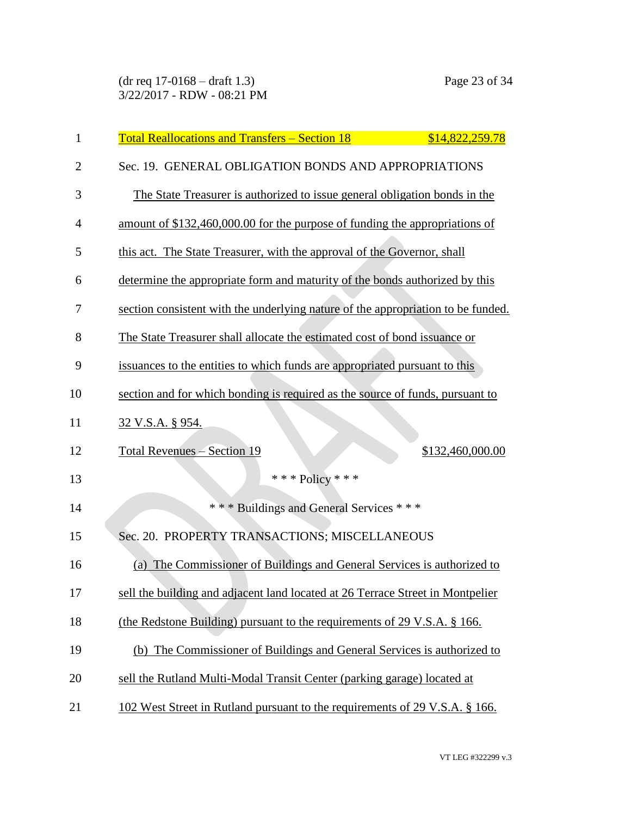(dr req 17-0168 – draft 1.3) Page 23 of 34 3/22/2017 - RDW - 08:21 PM

| 1              | <b>Total Reallocations and Transfers – Section 18</b><br>\$14,822,259.78         |
|----------------|----------------------------------------------------------------------------------|
| $\overline{2}$ | Sec. 19. GENERAL OBLIGATION BONDS AND APPROPRIATIONS                             |
| 3              | The State Treasurer is authorized to issue general obligation bonds in the       |
| $\overline{4}$ | amount of \$132,460,000.00 for the purpose of funding the appropriations of      |
| 5              | this act. The State Treasurer, with the approval of the Governor, shall          |
| 6              | determine the appropriate form and maturity of the bonds authorized by this      |
| 7              | section consistent with the underlying nature of the appropriation to be funded. |
| 8              | The State Treasurer shall allocate the estimated cost of bond issuance or        |
| 9              | issuances to the entities to which funds are appropriated pursuant to this       |
| 10             | section and for which bonding is required as the source of funds, pursuant to    |
| 11             | 32 V.S.A. § 954.                                                                 |
| 12             | <b>Total Revenues – Section 19</b><br>\$132,460,000.00                           |
| 13             | *** Policy ***                                                                   |
| 14             | *** Buildings and General Services ***                                           |
| 15             | Sec. 20. PROPERTY TRANSACTIONS; MISCELLANEOUS                                    |
| 16             | (a) The Commissioner of Buildings and General Services is authorized to          |
| 17             | sell the building and adjacent land located at 26 Terrace Street in Montpelier   |
| 18             | (the Redstone Building) pursuant to the requirements of 29 V.S.A. § 166.         |
| 19             | (b) The Commissioner of Buildings and General Services is authorized to          |
| 20             | sell the Rutland Multi-Modal Transit Center (parking garage) located at          |
| 21             | 102 West Street in Rutland pursuant to the requirements of 29 V.S.A. § 166.      |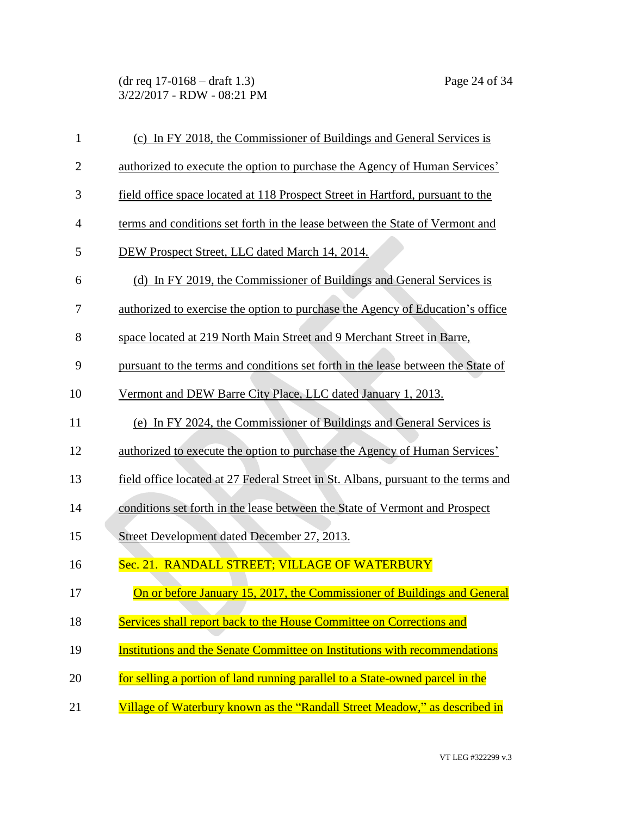(dr req 17-0168 – draft 1.3) Page 24 of 34 3/22/2017 - RDW - 08:21 PM

| $\mathbf{1}$   | (c) In FY 2018, the Commissioner of Buildings and General Services is              |
|----------------|------------------------------------------------------------------------------------|
| $\overline{2}$ | authorized to execute the option to purchase the Agency of Human Services'         |
| 3              | field office space located at 118 Prospect Street in Hartford, pursuant to the     |
| $\overline{4}$ | terms and conditions set forth in the lease between the State of Vermont and       |
| 5              | DEW Prospect Street, LLC dated March 14, 2014.                                     |
| 6              | (d) In FY 2019, the Commissioner of Buildings and General Services is              |
| 7              | authorized to exercise the option to purchase the Agency of Education's office     |
| 8              | space located at 219 North Main Street and 9 Merchant Street in Barre,             |
| 9              | pursuant to the terms and conditions set forth in the lease between the State of   |
| 10             | Vermont and DEW Barre City Place, LLC dated January 1, 2013.                       |
| 11             | (e) In FY 2024, the Commissioner of Buildings and General Services is              |
| 12             | authorized to execute the option to purchase the Agency of Human Services'         |
| 13             | field office located at 27 Federal Street in St. Albans, pursuant to the terms and |
| 14             | conditions set forth in the lease between the State of Vermont and Prospect        |
| 15             | Street Development dated December 27, 2013.                                        |
| 16             | Sec. 21. RANDALL STREET; VILLAGE OF WATERBURY                                      |
| 17             | On or before January 15, 2017, the Commissioner of Buildings and General           |
| 18             | Services shall report back to the House Committee on Corrections and               |
| 19             | <b>Institutions and the Senate Committee on Institutions with recommendations</b>  |
| 20             | for selling a portion of land running parallel to a State-owned parcel in the      |
| 21             | Village of Waterbury known as the "Randall Street Meadow," as described in         |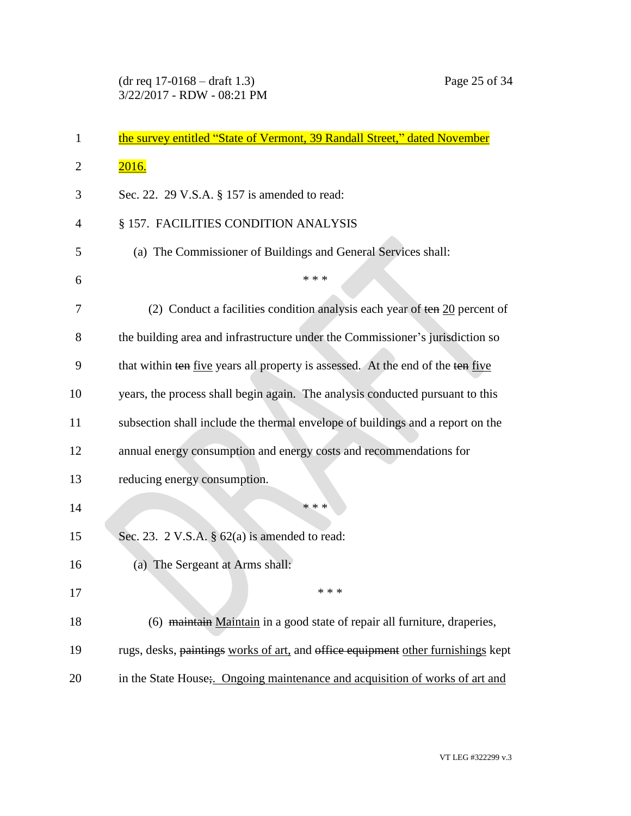| $\mathbf{1}$ | the survey entitled "State of Vermont, 39 Randall Street," dated November            |
|--------------|--------------------------------------------------------------------------------------|
| 2            | 2016.                                                                                |
| 3            | Sec. 22. 29 V.S.A. § 157 is amended to read:                                         |
| 4            | § 157. FACILITIES CONDITION ANALYSIS                                                 |
| 5            | (a) The Commissioner of Buildings and General Services shall:                        |
| 6            | * * *                                                                                |
| 7            | (2) Conduct a facilities condition analysis each year of $t\text{en } 20$ percent of |
| 8            | the building area and infrastructure under the Commissioner's jurisdiction so        |
| 9            | that within ten five years all property is assessed. At the end of the ten five      |
| 10           | years, the process shall begin again. The analysis conducted pursuant to this        |
| 11           | subsection shall include the thermal envelope of buildings and a report on the       |
| 12           | annual energy consumption and energy costs and recommendations for                   |
| 13           | reducing energy consumption.                                                         |
| 14           | * * *                                                                                |
| 15           | Sec. 23. 2 V.S.A. $\S$ 62(a) is amended to read:                                     |
| 16           | (a) The Sergeant at Arms shall:                                                      |
| 17           | * * *                                                                                |
| 18           | (6) maintain Maintain in a good state of repair all furniture, draperies,            |
| 19           | rugs, desks, paintings works of art, and office equipment other furnishings kept     |
| 20           | in the State House; Ongoing maintenance and acquisition of works of art and          |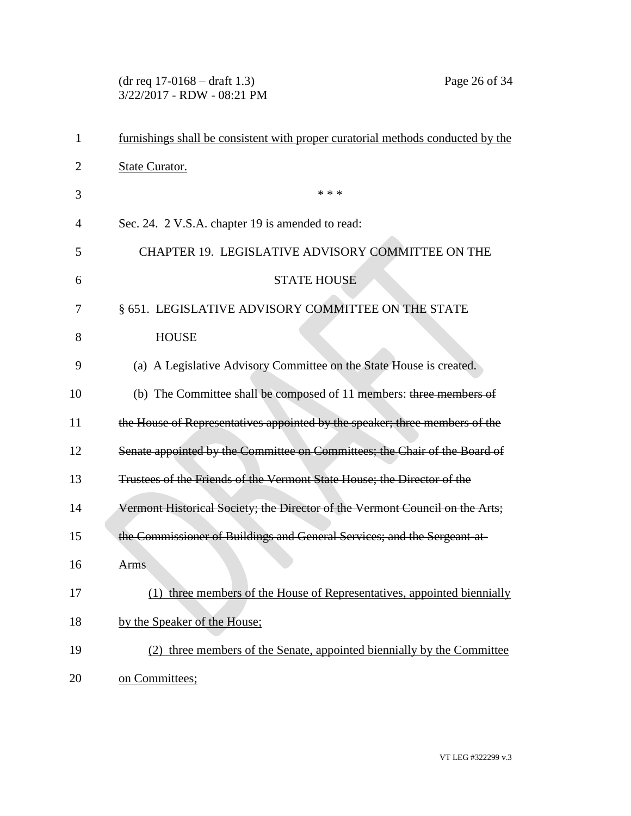(dr req 17-0168 – draft 1.3) Page 26 of 34 3/22/2017 - RDW - 08:21 PM

| 1  | furnishings shall be consistent with proper curatorial methods conducted by the |
|----|---------------------------------------------------------------------------------|
| 2  | <b>State Curator.</b>                                                           |
| 3  | * * *                                                                           |
| 4  | Sec. 24. 2 V.S.A. chapter 19 is amended to read:                                |
| 5  | CHAPTER 19. LEGISLATIVE ADVISORY COMMITTEE ON THE                               |
| 6  | <b>STATE HOUSE</b>                                                              |
| 7  | § 651. LEGISLATIVE ADVISORY COMMITTEE ON THE STATE                              |
| 8  | <b>HOUSE</b>                                                                    |
| 9  | (a) A Legislative Advisory Committee on the State House is created.             |
| 10 | (b) The Committee shall be composed of 11 members: three members of             |
| 11 | the House of Representatives appointed by the speaker; three members of the     |
| 12 | Senate appointed by the Committee on Committees; the Chair of the Board of      |
| 13 | Trustees of the Friends of the Vermont State House; the Director of the         |
| 14 | Vermont Historical Society; the Director of the Vermont Council on the Arts;    |
| 15 | the Commissioner of Buildings and General Services; and the Sergeant-at-        |
| 16 | <b>Arms</b>                                                                     |
| 17 | (1) three members of the House of Representatives, appointed biennially         |
| 18 | by the Speaker of the House;                                                    |
| 19 | (2) three members of the Senate, appointed biennially by the Committee          |
| 20 | on Committees;                                                                  |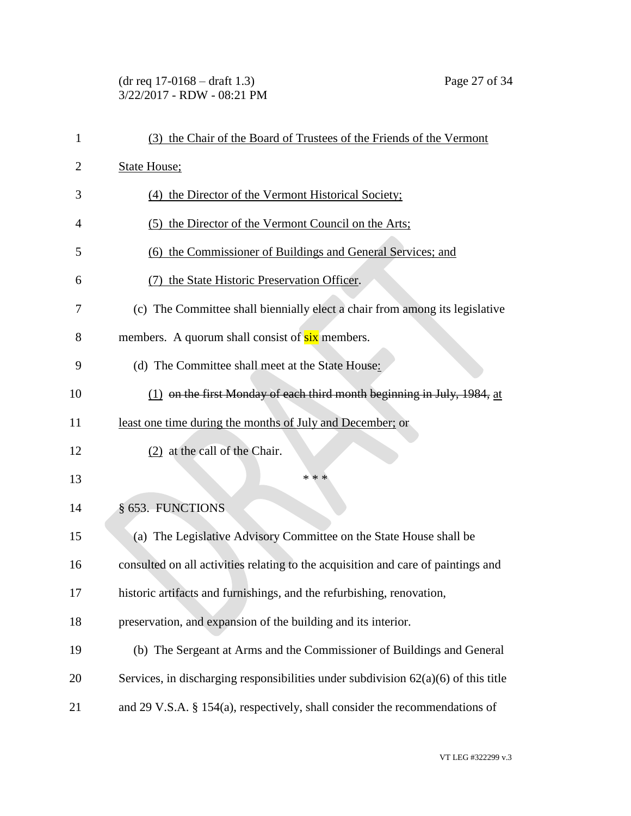## (dr req 17-0168 – draft 1.3) Page 27 of 34 3/22/2017 - RDW - 08:21 PM

| 1  | (3) the Chair of the Board of Trustees of the Friends of the Vermont                 |
|----|--------------------------------------------------------------------------------------|
| 2  | <b>State House;</b>                                                                  |
| 3  | (4) the Director of the Vermont Historical Society;                                  |
| 4  | (5) the Director of the Vermont Council on the Arts;                                 |
| 5  | (6) the Commissioner of Buildings and General Services; and                          |
| 6  | the State Historic Preservation Officer.<br>(7)                                      |
| 7  | (c) The Committee shall biennially elect a chair from among its legislative          |
| 8  | members. A quorum shall consist of six members.                                      |
| 9  | (d) The Committee shall meet at the State House:                                     |
| 10 | (1) on the first Monday of each third month beginning in July, 1984, at              |
| 11 | least one time during the months of July and December; or                            |
| 12 | (2) at the call of the Chair.                                                        |
| 13 | * * *                                                                                |
| 14 | § 653. FUNCTIONS                                                                     |
| 15 | (a) The Legislative Advisory Committee on the State House shall be                   |
| 16 | consulted on all activities relating to the acquisition and care of paintings and    |
| 17 | historic artifacts and furnishings, and the refurbishing, renovation,                |
| 18 | preservation, and expansion of the building and its interior.                        |
| 19 | (b) The Sergeant at Arms and the Commissioner of Buildings and General               |
| 20 | Services, in discharging responsibilities under subdivision $62(a)(6)$ of this title |
| 21 | and 29 V.S.A. $\S$ 154(a), respectively, shall consider the recommendations of       |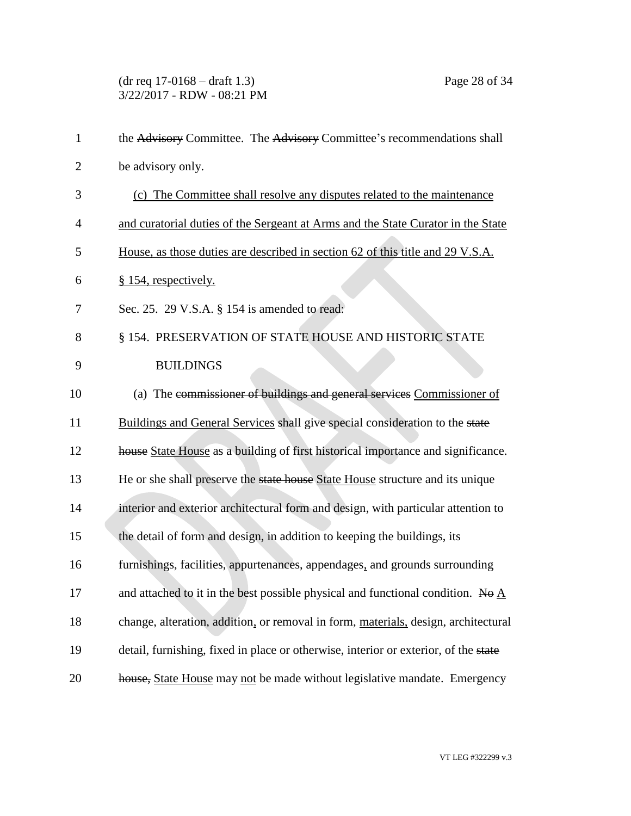(dr req 17-0168 – draft 1.3) Page 28 of 34 3/22/2017 - RDW - 08:21 PM

| $\mathbf{1}$   | the Advisory Committee. The Advisory Committee's recommendations shall                        |
|----------------|-----------------------------------------------------------------------------------------------|
| $\overline{2}$ | be advisory only.                                                                             |
| 3              | (c) The Committee shall resolve any disputes related to the maintenance                       |
| 4              | and curatorial duties of the Sergeant at Arms and the State Curator in the State              |
| 5              | House, as those duties are described in section 62 of this title and 29 V.S.A.                |
| 6              | § 154, respectively.                                                                          |
| 7              | Sec. 25. 29 V.S.A. § 154 is amended to read:                                                  |
| 8              | § 154. PRESERVATION OF STATE HOUSE AND HISTORIC STATE                                         |
| 9              | <b>BUILDINGS</b>                                                                              |
| 10             | (a) The commissioner of buildings and general services Commissioner of                        |
| 11             | Buildings and General Services shall give special consideration to the state                  |
| 12             | house State House as a building of first historical importance and significance.              |
| 13             | He or she shall preserve the state house State House structure and its unique                 |
| 14             | interior and exterior architectural form and design, with particular attention to             |
| 15             | the detail of form and design, in addition to keeping the buildings, its                      |
| 16             | furnishings, facilities, appurtenances, appendages, and grounds surrounding                   |
| 17             | and attached to it in the best possible physical and functional condition. No $\underline{A}$ |
| 18             | change, alteration, addition, or removal in form, materials, design, architectural            |
| 19             | detail, furnishing, fixed in place or otherwise, interior or exterior, of the state           |
| 20             | house, State House may not be made without legislative mandate. Emergency                     |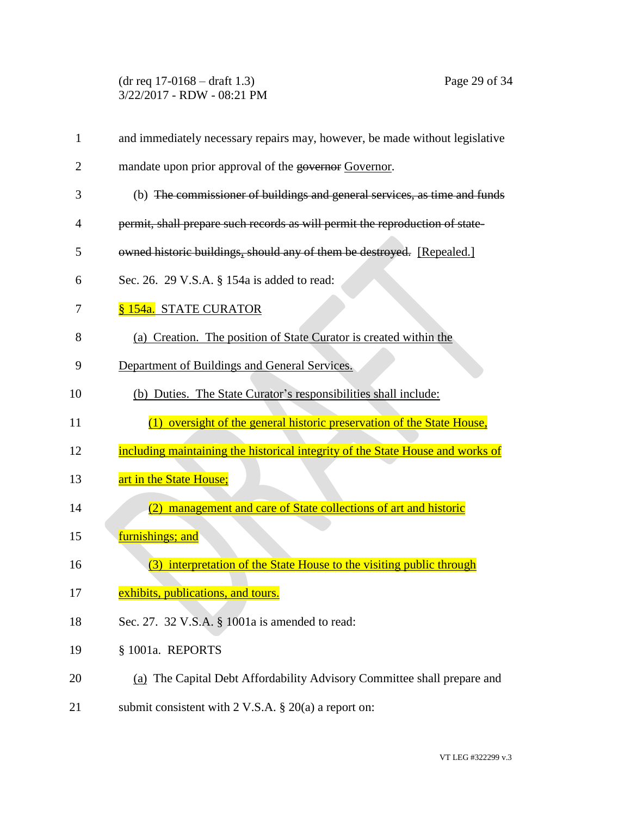(dr req 17-0168 – draft 1.3) Page 29 of 34 3/22/2017 - RDW - 08:21 PM

| 1  | and immediately necessary repairs may, however, be made without legislative    |
|----|--------------------------------------------------------------------------------|
| 2  | mandate upon prior approval of the governor Governor.                          |
| 3  | (b) The commissioner of buildings and general services, as time and funds      |
| 4  | permit, shall prepare such records as will permit the reproduction of state-   |
| 5  | owned historic buildings, should any of them be destroyed. [Repealed.]         |
| 6  | Sec. 26. 29 V.S.A. § 154a is added to read:                                    |
| 7  | § 154a. STATE CURATOR                                                          |
| 8  | (a) Creation. The position of State Curator is created within the              |
| 9  | Department of Buildings and General Services.                                  |
| 10 | (b) Duties. The State Curator's responsibilities shall include:                |
|    |                                                                                |
| 11 | (1) oversight of the general historic preservation of the State House,         |
| 12 | including maintaining the historical integrity of the State House and works of |
| 13 | art in the State House;                                                        |
| 14 | (2) management and care of State collections of art and historic               |
| 15 | furnishings; and                                                               |
| 16 | interpretation of the State House to the visiting public through<br>(3)        |
| 17 | exhibits, publications, and tours.                                             |
| 18 | Sec. 27. 32 V.S.A. § 1001a is amended to read:                                 |
| 19 | § 1001a. REPORTS                                                               |
| 20 | (a) The Capital Debt Affordability Advisory Committee shall prepare and        |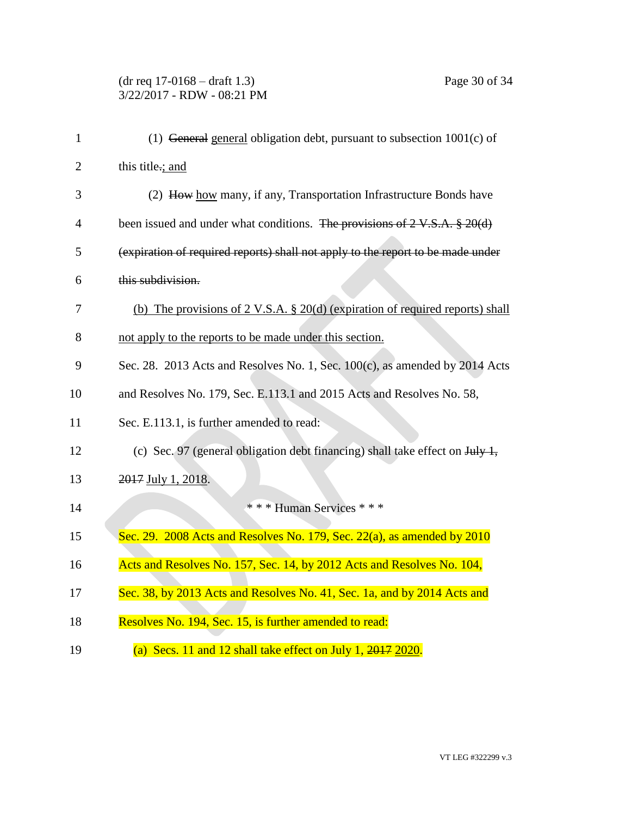| $\mathbf{1}$   | (1) General general obligation debt, pursuant to subsection $1001(c)$ of                           |
|----------------|----------------------------------------------------------------------------------------------------|
| $\overline{2}$ | this title.; and                                                                                   |
| 3              | (2) How how many, if any, Transportation Infrastructure Bonds have                                 |
| $\overline{4}$ | been issued and under what conditions. The provisions of $2 \text{ V.S.A. }$ \$ 20(d)              |
| 5              | (expiration of required reports) shall not apply to the report to be made under                    |
| 6              | this subdivision.                                                                                  |
| 7              | (b) The provisions of $2 \text{ V.S.A. }$ $\S 20(d)$ (expiration of required reports) shall        |
| 8              | not apply to the reports to be made under this section.                                            |
| 9              | Sec. 28. 2013 Acts and Resolves No. 1, Sec. 100(c), as amended by 2014 Acts                        |
| 10             | and Resolves No. 179, Sec. E.113.1 and 2015 Acts and Resolves No. 58,                              |
| 11             | Sec. E.113.1, is further amended to read:                                                          |
| 12             | (c) Sec. 97 (general obligation debt financing) shall take effect on $J_{\text{t}}/J_{\text{t}}$ , |
| 13             | 2017 July 1, 2018.                                                                                 |
| 14             | *** Human Services ***                                                                             |
| 15             | Sec. $29.2008$ Acts and Resolves No. 179, Sec. $22(a)$ , as amended by $2010$                      |
| 16             | Acts and Resolves No. 157, Sec. 14, by 2012 Acts and Resolves No. 104,                             |
| 17             | Sec. 38, by 2013 Acts and Resolves No. 41, Sec. 1a, and by 2014 Acts and                           |
| 18             | Resolves No. 194, Sec. 15, is further amended to read:                                             |
| 19             | (a) Secs. 11 and 12 shall take effect on July 1, $2017$ $2020$ .                                   |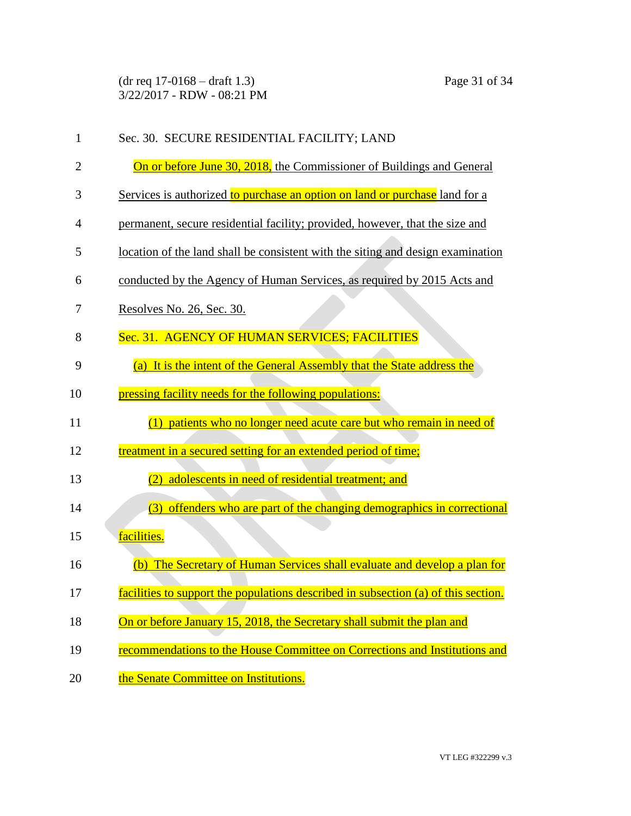(dr req 17-0168 – draft 1.3) Page 31 of 34 3/22/2017 - RDW - 08:21 PM

| 1  | Sec. 30. SECURE RESIDENTIAL FACILITY; LAND                                         |
|----|------------------------------------------------------------------------------------|
| 2  | On or before June 30, 2018, the Commissioner of Buildings and General              |
| 3  | Services is authorized to purchase an option on land or purchase land for a        |
| 4  | permanent, secure residential facility; provided, however, that the size and       |
| 5  | location of the land shall be consistent with the siting and design examination    |
| 6  | conducted by the Agency of Human Services, as required by 2015 Acts and            |
| 7  | Resolves No. 26, Sec. 30.                                                          |
| 8  | Sec. 31. AGENCY OF HUMAN SERVICES; FACILITIES                                      |
| 9  | (a) It is the intent of the General Assembly that the State address the            |
| 10 | pressing facility needs for the following populations:                             |
| 11 | (1) patients who no longer need acute care but who remain in need of               |
| 12 | treatment in a secured setting for an extended period of time;                     |
| 13 | adolescents in need of residential treatment; and                                  |
| 14 | offenders who are part of the changing demographics in correctional<br>(3)         |
| 15 | facilities.                                                                        |
| 16 | The Secretary of Human Services shall evaluate and develop a plan for<br>(b)       |
| 17 | facilities to support the populations described in subsection (a) of this section. |
| 18 | On or before January 15, 2018, the Secretary shall submit the plan and             |
| 19 | recommendations to the House Committee on Corrections and Institutions and         |
| 20 | the Senate Committee on Institutions.                                              |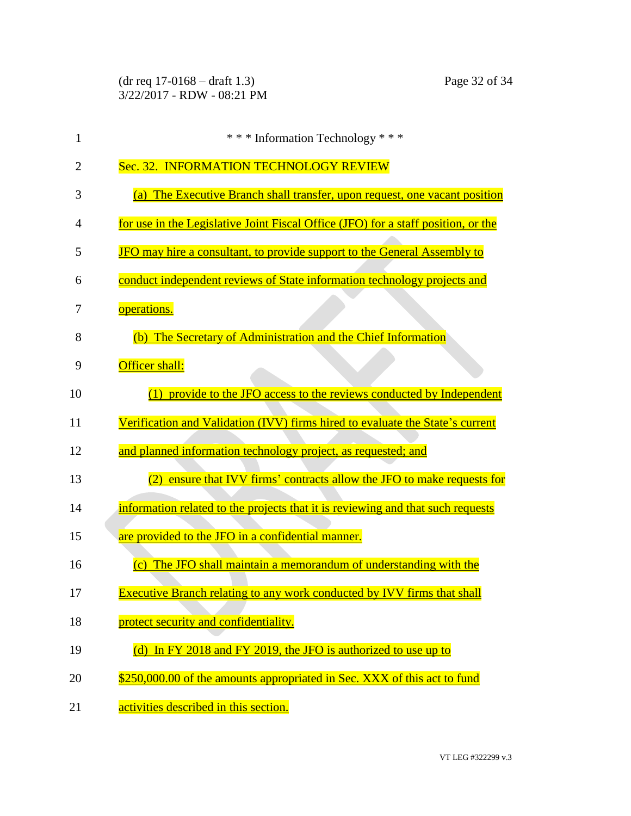(dr req 17-0168 – draft 1.3) Page 32 of 34 3/22/2017 - RDW - 08:21 PM

| $\mathbf{1}$ | *** Information Technology ***                                                              |
|--------------|---------------------------------------------------------------------------------------------|
| 2            | Sec. 32. INFORMATION TECHNOLOGY REVIEW                                                      |
| 3            | (a) The Executive Branch shall transfer, upon request, one vacant position                  |
| 4            | for use in the Legislative Joint Fiscal Office (JFO) for a staff position, or the           |
| 5            | JFO may hire a consultant, to provide support to the General Assembly to                    |
| 6            | conduct independent reviews of State information technology projects and                    |
| 7            | operations.                                                                                 |
| 8            | (b) The Secretary of Administration and the Chief Information                               |
| 9            | Officer shall:                                                                              |
| 10           | (1) provide to the JFO access to the reviews conducted by Independent                       |
| 11           | Verification and Validation (IVV) firms hired to evaluate the State's current               |
| 12           | and planned information technology project, as requested; and                               |
| 13           | ensure that IVV firms' contracts allow the JFO to make requests for                         |
| 14           | information related to the projects that it is reviewing and that such requests             |
| 15           | are provided to the JFO in a confidential manner.                                           |
| 16           | The JFO shall maintain a memorandum of understanding with the<br>$\left( \mathrm{c}\right)$ |
| 17           | <b>Executive Branch relating to any work conducted by IVV firms that shall</b>              |
| 18           | protect security and confidentiality.                                                       |
| 19           | In FY 2018 and FY 2019, the JFO is authorized to use up to<br>(d)                           |
| 20           | \$250,000.00 of the amounts appropriated in Sec. XXX of this act to fund                    |
| 21           | activities described in this section.                                                       |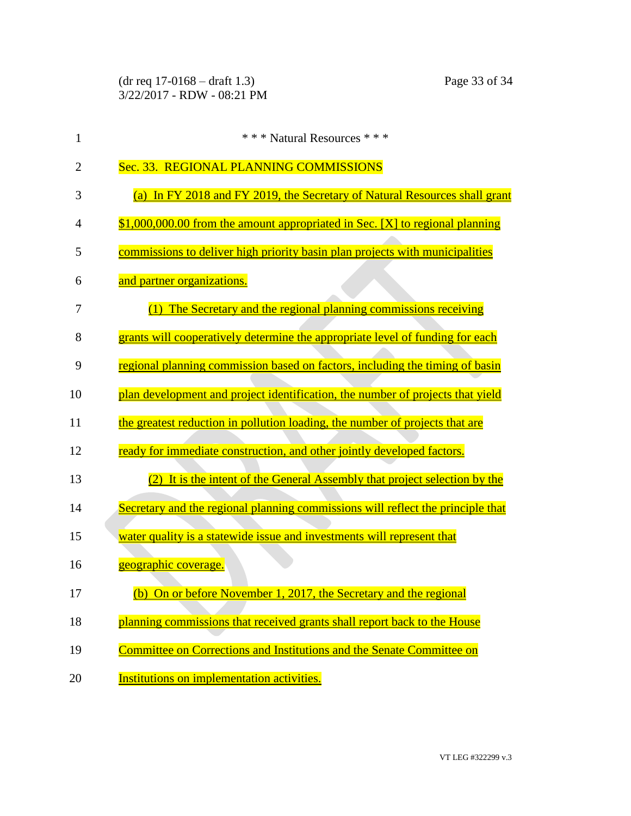| 1              | *** Natural Resources ***                                                       |
|----------------|---------------------------------------------------------------------------------|
| $\overline{2}$ | Sec. 33. REGIONAL PLANNING COMMISSIONS                                          |
| 3              | (a) In FY 2018 and FY 2019, the Secretary of Natural Resources shall grant      |
| 4              | $$1,000,000.00$ from the amount appropriated in Sec. [X] to regional planning   |
| 5              | commissions to deliver high priority basin plan projects with municipalities    |
| 6              | and partner organizations.                                                      |
| 7              | (1) The Secretary and the regional planning commissions receiving               |
| 8              | grants will cooperatively determine the appropriate level of funding for each   |
| 9              | regional planning commission based on factors, including the timing of basin    |
| 10             | plan development and project identification, the number of projects that yield  |
| 11             | the greatest reduction in pollution loading, the number of projects that are    |
| 12             | ready for immediate construction, and other jointly developed factors.          |
| 13             | (2) It is the intent of the General Assembly that project selection by the      |
| 14             | Secretary and the regional planning commissions will reflect the principle that |
| 15             | water quality is a statewide issue and investments will represent that          |
| 16             | geographic coverage.                                                            |
| 17             | (b) On or before November 1, 2017, the Secretary and the regional               |
| 18             | planning commissions that received grants shall report back to the House        |
| 19             | Committee on Corrections and Institutions and the Senate Committee on           |
| 20             | Institutions on implementation activities.                                      |